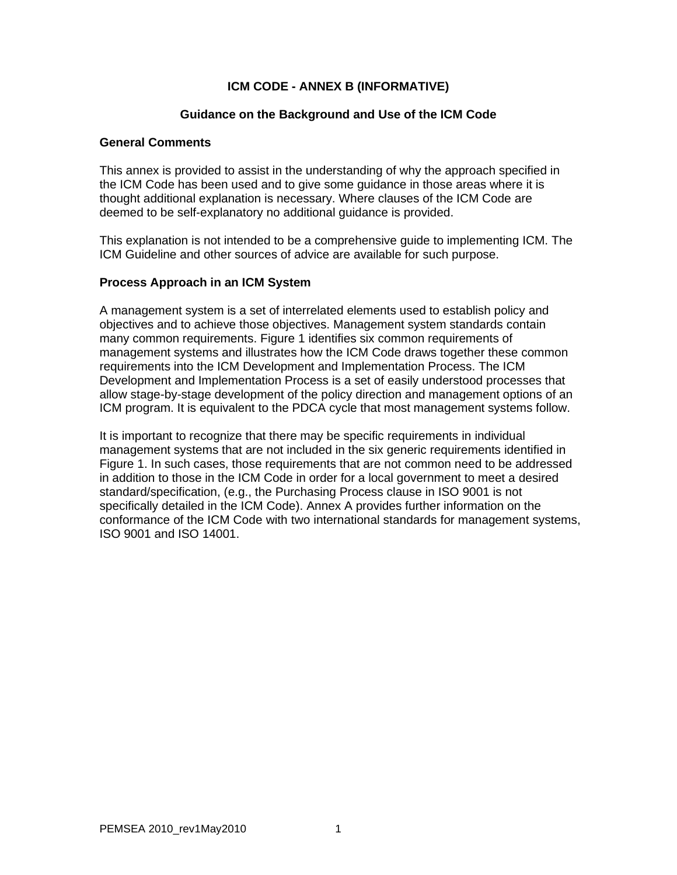# **ICM CODE - ANNEX B (INFORMATIVE)**

### **Guidance on the Background and Use of the ICM Code**

### **General Comments**

This annex is provided to assist in the understanding of why the approach specified in the ICM Code has been used and to give some guidance in those areas where it is thought additional explanation is necessary. Where clauses of the ICM Code are deemed to be self-explanatory no additional guidance is provided.

This explanation is not intended to be a comprehensive guide to implementing ICM. The ICM Guideline and other sources of advice are available for such purpose.

### **Process Approach in an ICM System**

A management system is a set of interrelated elements used to establish policy and objectives and to achieve those objectives. Management system standards contain many common requirements. Figure 1 identifies six common requirements of management systems and illustrates how the ICM Code draws together these common requirements into the ICM Development and Implementation Process. The ICM Development and Implementation Process is a set of easily understood processes that allow stage-by-stage development of the policy direction and management options of an ICM program. It is equivalent to the PDCA cycle that most management systems follow.

It is important to recognize that there may be specific requirements in individual management systems that are not included in the six generic requirements identified in Figure 1. In such cases, those requirements that are not common need to be addressed in addition to those in the ICM Code in order for a local government to meet a desired standard/specification, (e.g., the Purchasing Process clause in ISO 9001 is not specifically detailed in the ICM Code). Annex A provides further information on the conformance of the ICM Code with two international standards for management systems, ISO 9001 and ISO 14001.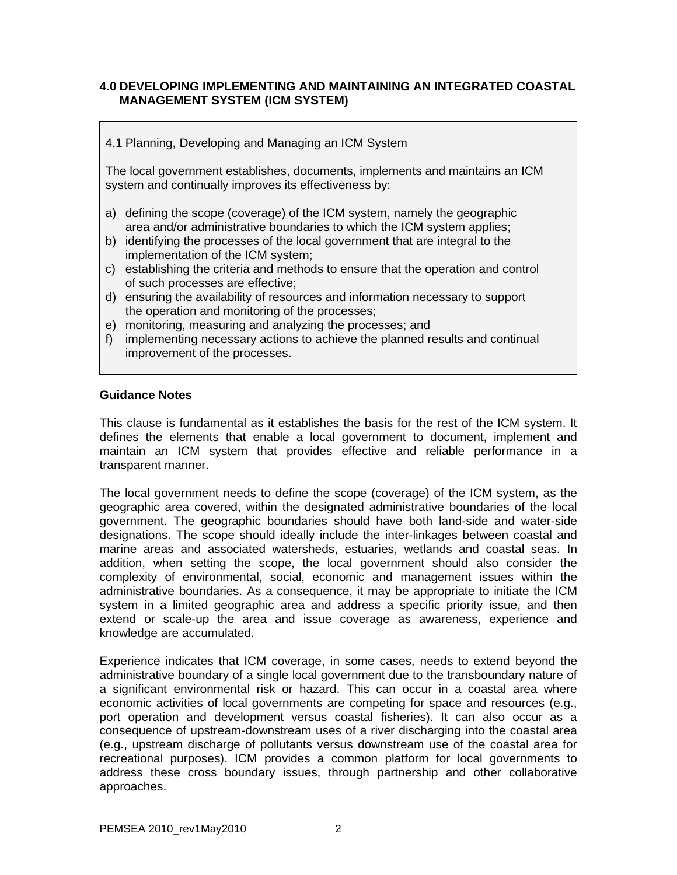## **4.0 DEVELOPING IMPLEMENTING AND MAINTAINING AN INTEGRATED COASTAL MANAGEMENT SYSTEM (ICM SYSTEM)**

4.1 Planning, Developing and Managing an ICM System

The local government establishes, documents, implements and maintains an ICM system and continually improves its effectiveness by:

- a) defining the scope (coverage) of the ICM system, namely the geographic area and/or administrative boundaries to which the ICM system applies;
- b) identifying the processes of the local government that are integral to the implementation of the ICM system;
- c) establishing the criteria and methods to ensure that the operation and control of such processes are effective;
- d) ensuring the availability of resources and information necessary to support the operation and monitoring of the processes;
- e) monitoring, measuring and analyzing the processes; and
- f) implementing necessary actions to achieve the planned results and continual improvement of the processes.

#### **Guidance Notes**

This clause is fundamental as it establishes the basis for the rest of the ICM system. It defines the elements that enable a local government to document, implement and maintain an ICM system that provides effective and reliable performance in a transparent manner.

The local government needs to define the scope (coverage) of the ICM system, as the geographic area covered, within the designated administrative boundaries of the local government. The geographic boundaries should have both land-side and water-side designations. The scope should ideally include the inter-linkages between coastal and marine areas and associated watersheds, estuaries, wetlands and coastal seas. In addition, when setting the scope, the local government should also consider the complexity of environmental, social, economic and management issues within the administrative boundaries. As a consequence, it may be appropriate to initiate the ICM system in a limited geographic area and address a specific priority issue, and then extend or scale-up the area and issue coverage as awareness, experience and knowledge are accumulated.

Experience indicates that ICM coverage, in some cases, needs to extend beyond the administrative boundary of a single local government due to the transboundary nature of a significant environmental risk or hazard. This can occur in a coastal area where economic activities of local governments are competing for space and resources (e.g., port operation and development versus coastal fisheries). It can also occur as a consequence of upstream-downstream uses of a river discharging into the coastal area (e.g., upstream discharge of pollutants versus downstream use of the coastal area for recreational purposes). ICM provides a common platform for local governments to address these cross boundary issues, through partnership and other collaborative approaches.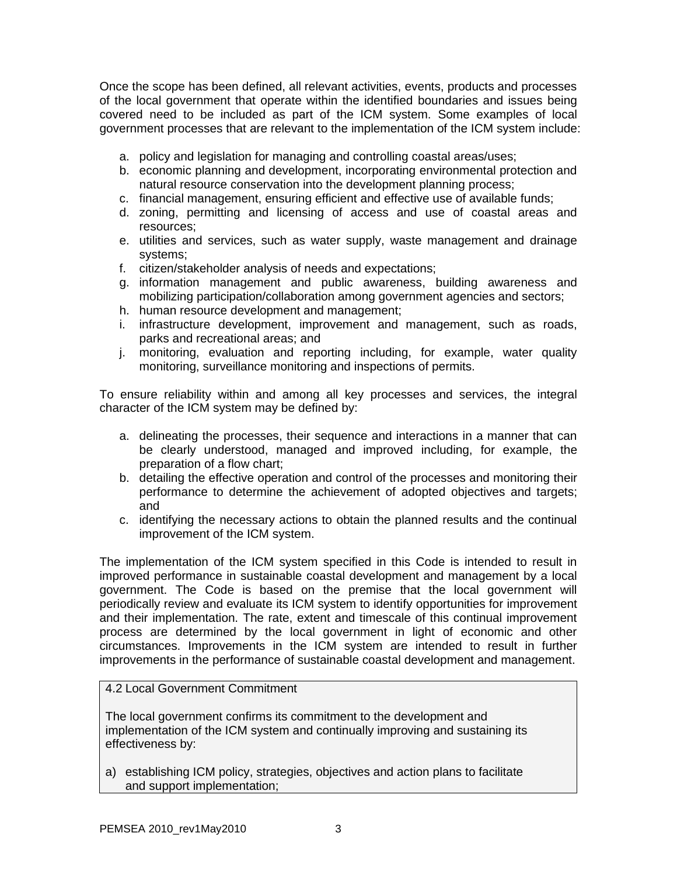Once the scope has been defined, all relevant activities, events, products and processes of the local government that operate within the identified boundaries and issues being covered need to be included as part of the ICM system. Some examples of local government processes that are relevant to the implementation of the ICM system include:

- a. policy and legislation for managing and controlling coastal areas/uses;
- b. economic planning and development, incorporating environmental protection and natural resource conservation into the development planning process;
- c. financial management, ensuring efficient and effective use of available funds;
- d. zoning, permitting and licensing of access and use of coastal areas and resources;
- e. utilities and services, such as water supply, waste management and drainage systems;
- f. citizen/stakeholder analysis of needs and expectations;
- g. information management and public awareness, building awareness and mobilizing participation/collaboration among government agencies and sectors;
- h. human resource development and management;
- i. infrastructure development, improvement and management, such as roads, parks and recreational areas; and
- j. monitoring, evaluation and reporting including, for example, water quality monitoring, surveillance monitoring and inspections of permits.

To ensure reliability within and among all key processes and services, the integral character of the ICM system may be defined by:

- a. delineating the processes, their sequence and interactions in a manner that can be clearly understood, managed and improved including, for example, the preparation of a flow chart;
- b. detailing the effective operation and control of the processes and monitoring their performance to determine the achievement of adopted objectives and targets; and
- c. identifying the necessary actions to obtain the planned results and the continual improvement of the ICM system.

The implementation of the ICM system specified in this Code is intended to result in improved performance in sustainable coastal development and management by a local government. The Code is based on the premise that the local government will periodically review and evaluate its ICM system to identify opportunities for improvement and their implementation. The rate, extent and timescale of this continual improvement process are determined by the local government in light of economic and other circumstances. Improvements in the ICM system are intended to result in further improvements in the performance of sustainable coastal development and management.

# 4.2 Local Government Commitment

The local government confirms its commitment to the development and implementation of the ICM system and continually improving and sustaining its effectiveness by:

a) establishing ICM policy, strategies, objectives and action plans to facilitate and support implementation;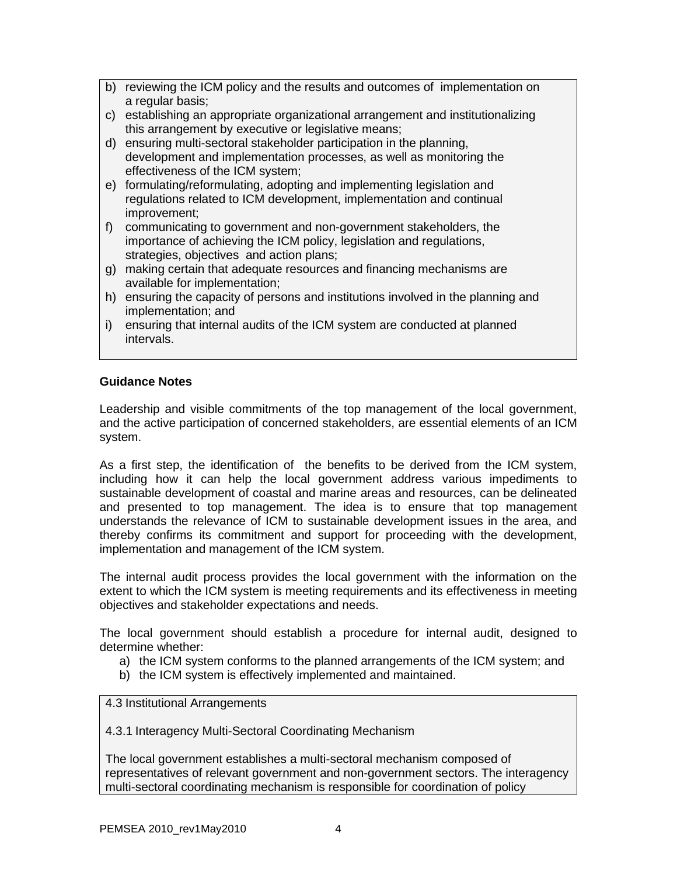- b) reviewing the ICM policy and the results and outcomes of implementation on a regular basis;
- c) establishing an appropriate organizational arrangement and institutionalizing this arrangement by executive or legislative means;
- d) ensuring multi-sectoral stakeholder participation in the planning, development and implementation processes, as well as monitoring the effectiveness of the ICM system;
- e) formulating/reformulating, adopting and implementing legislation and regulations related to ICM development, implementation and continual improvement;
- f) communicating to government and non-government stakeholders, the importance of achieving the ICM policy, legislation and regulations, strategies, objectives and action plans;
- g) making certain that adequate resources and financing mechanisms are available for implementation;
- h) ensuring the capacity of persons and institutions involved in the planning and implementation; and
- i) ensuring that internal audits of the ICM system are conducted at planned intervals.

## **Guidance Notes**

Leadership and visible commitments of the top management of the local government, and the active participation of concerned stakeholders, are essential elements of an ICM system.

As a first step, the identification of the benefits to be derived from the ICM system, including how it can help the local government address various impediments to sustainable development of coastal and marine areas and resources, can be delineated and presented to top management. The idea is to ensure that top management understands the relevance of ICM to sustainable development issues in the area, and thereby confirms its commitment and support for proceeding with the development, implementation and management of the ICM system.

The internal audit process provides the local government with the information on the extent to which the ICM system is meeting requirements and its effectiveness in meeting objectives and stakeholder expectations and needs.

The local government should establish a procedure for internal audit, designed to determine whether:

- a) the ICM system conforms to the planned arrangements of the ICM system; and
- b) the ICM system is effectively implemented and maintained.

4.3 Institutional Arrangements

4.3.1 Interagency Multi-Sectoral Coordinating Mechanism

The local government establishes a multi-sectoral mechanism composed of representatives of relevant government and non-government sectors. The interagency multi-sectoral coordinating mechanism is responsible for coordination of policy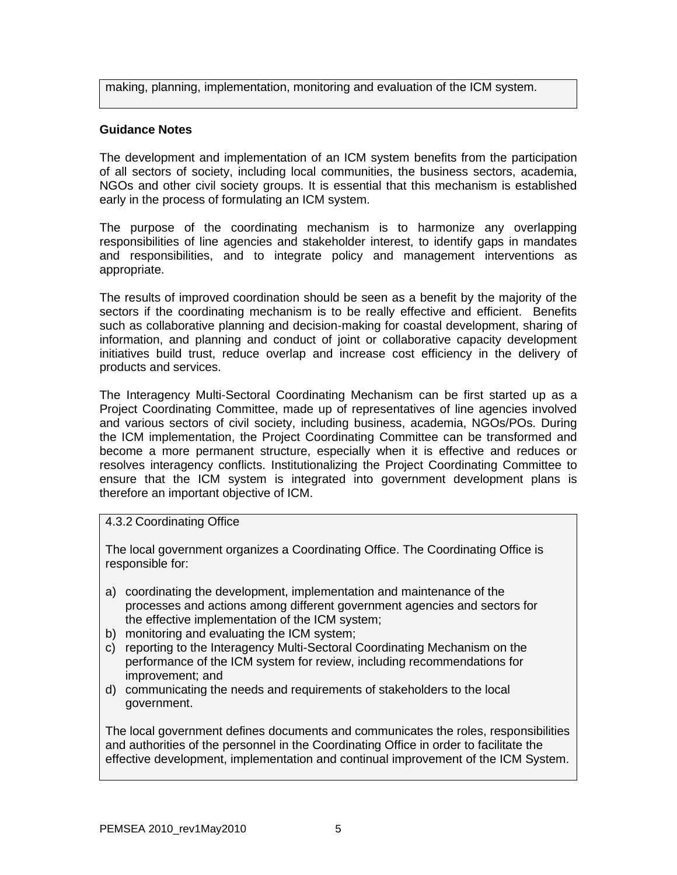making, planning, implementation, monitoring and evaluation of the ICM system.

# **Guidance Notes**

The development and implementation of an ICM system benefits from the participation of all sectors of society, including local communities, the business sectors, academia, NGOs and other civil society groups. It is essential that this mechanism is established early in the process of formulating an ICM system.

The purpose of the coordinating mechanism is to harmonize any overlapping responsibilities of line agencies and stakeholder interest, to identify gaps in mandates and responsibilities, and to integrate policy and management interventions as appropriate.

The results of improved coordination should be seen as a benefit by the majority of the sectors if the coordinating mechanism is to be really effective and efficient. Benefits such as collaborative planning and decision-making for coastal development, sharing of information, and planning and conduct of joint or collaborative capacity development initiatives build trust, reduce overlap and increase cost efficiency in the delivery of products and services.

The Interagency Multi-Sectoral Coordinating Mechanism can be first started up as a Project Coordinating Committee, made up of representatives of line agencies involved and various sectors of civil society, including business, academia, NGOs/POs. During the ICM implementation, the Project Coordinating Committee can be transformed and become a more permanent structure, especially when it is effective and reduces or resolves interagency conflicts. Institutionalizing the Project Coordinating Committee to ensure that the ICM system is integrated into government development plans is therefore an important objective of ICM.

## 4.3.2 Coordinating Office

The local government organizes a Coordinating Office. The Coordinating Office is responsible for:

- a) coordinating the development, implementation and maintenance of the processes and actions among different government agencies and sectors for the effective implementation of the ICM system;
- b) monitoring and evaluating the ICM system;
- c) reporting to the Interagency Multi-Sectoral Coordinating Mechanism on the performance of the ICM system for review, including recommendations for improvement; and
- d) communicating the needs and requirements of stakeholders to the local government.

The local government defines documents and communicates the roles, responsibilities and authorities of the personnel in the Coordinating Office in order to facilitate the effective development, implementation and continual improvement of the ICM System.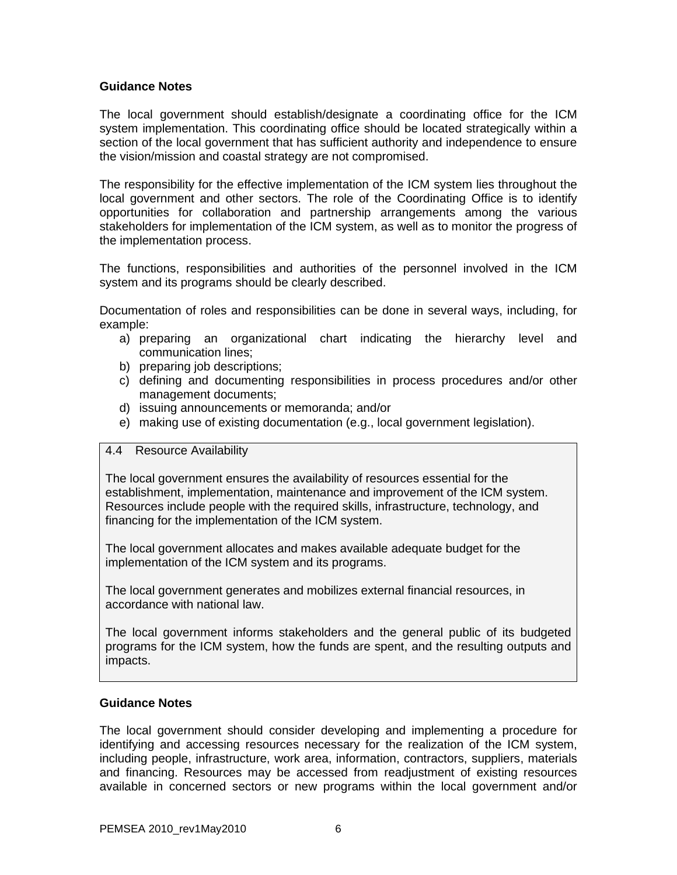### **Guidance Notes**

The local government should establish/designate a coordinating office for the ICM system implementation. This coordinating office should be located strategically within a section of the local government that has sufficient authority and independence to ensure the vision/mission and coastal strategy are not compromised.

The responsibility for the effective implementation of the ICM system lies throughout the local government and other sectors. The role of the Coordinating Office is to identify opportunities for collaboration and partnership arrangements among the various stakeholders for implementation of the ICM system, as well as to monitor the progress of the implementation process.

The functions, responsibilities and authorities of the personnel involved in the ICM system and its programs should be clearly described.

Documentation of roles and responsibilities can be done in several ways, including, for example:

- a) preparing an organizational chart indicating the hierarchy level and communication lines;
- b) preparing job descriptions;
- c) defining and documenting responsibilities in process procedures and/or other management documents;
- d) issuing announcements or memoranda; and/or
- e) making use of existing documentation (e.g., local government legislation).

### 4.4 Resource Availability

The local government ensures the availability of resources essential for the establishment, implementation, maintenance and improvement of the ICM system. Resources include people with the required skills, infrastructure, technology, and financing for the implementation of the ICM system.

The local government allocates and makes available adequate budget for the implementation of the ICM system and its programs.

The local government generates and mobilizes external financial resources, in accordance with national law.

The local government informs stakeholders and the general public of its budgeted programs for the ICM system, how the funds are spent, and the resulting outputs and impacts.

### **Guidance Notes**

The local government should consider developing and implementing a procedure for identifying and accessing resources necessary for the realization of the ICM system, including people, infrastructure, work area, information, contractors, suppliers, materials and financing. Resources may be accessed from readjustment of existing resources available in concerned sectors or new programs within the local government and/or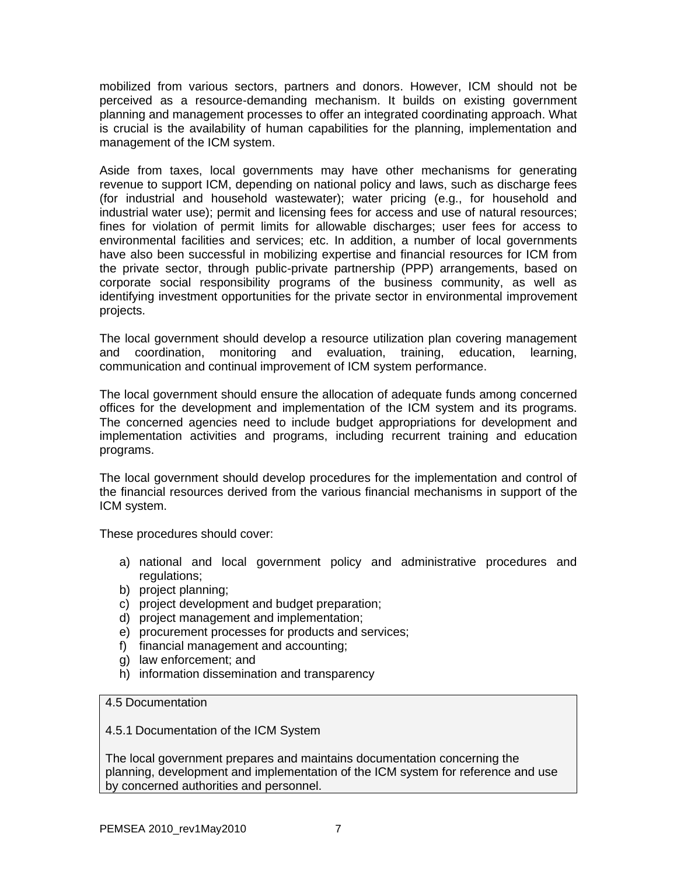mobilized from various sectors, partners and donors. However, ICM should not be perceived as a resource-demanding mechanism. It builds on existing government planning and management processes to offer an integrated coordinating approach. What is crucial is the availability of human capabilities for the planning, implementation and management of the ICM system.

Aside from taxes, local governments may have other mechanisms for generating revenue to support ICM, depending on national policy and laws, such as discharge fees (for industrial and household wastewater); water pricing (e.g., for household and industrial water use); permit and licensing fees for access and use of natural resources; fines for violation of permit limits for allowable discharges; user fees for access to environmental facilities and services; etc. In addition, a number of local governments have also been successful in mobilizing expertise and financial resources for ICM from the private sector, through public-private partnership (PPP) arrangements, based on corporate social responsibility programs of the business community, as well as identifying investment opportunities for the private sector in environmental improvement projects.

The local government should develop a resource utilization plan covering management and coordination, monitoring and evaluation, training, education, learning, communication and continual improvement of ICM system performance.

The local government should ensure the allocation of adequate funds among concerned offices for the development and implementation of the ICM system and its programs. The concerned agencies need to include budget appropriations for development and implementation activities and programs, including recurrent training and education programs.

The local government should develop procedures for the implementation and control of the financial resources derived from the various financial mechanisms in support of the ICM system.

These procedures should cover:

- a) national and local government policy and administrative procedures and regulations;
- b) project planning;
- c) project development and budget preparation;
- d) project management and implementation;
- e) procurement processes for products and services;
- f) financial management and accounting;
- g) law enforcement; and
- h) information dissemination and transparency

4.5 Documentation

4.5.1 Documentation of the ICM System

The local government prepares and maintains documentation concerning the planning, development and implementation of the ICM system for reference and use by concerned authorities and personnel.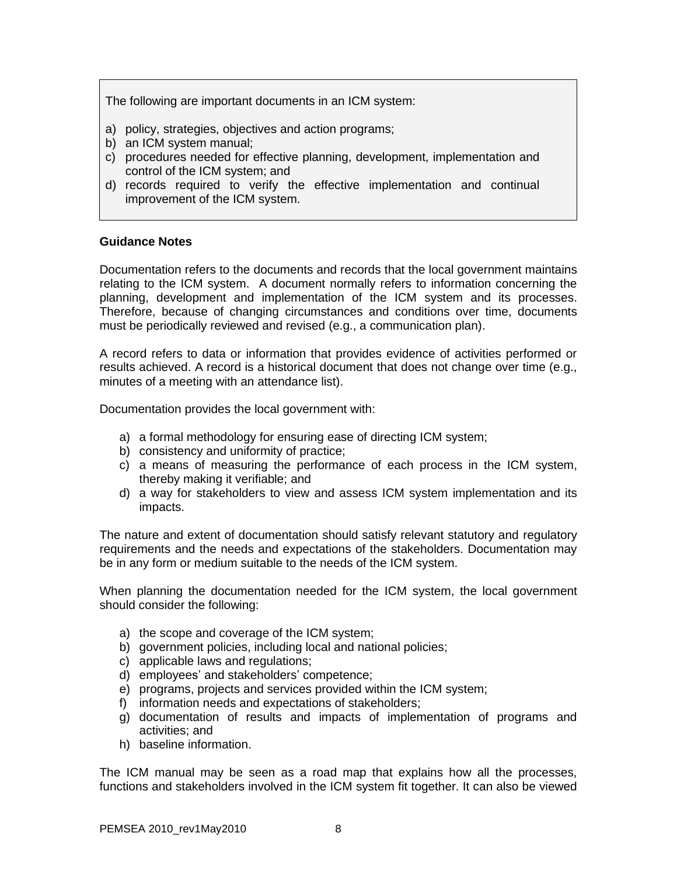The following are important documents in an ICM system:

- a) policy, strategies, objectives and action programs;
- b) an ICM system manual;
- c) procedures needed for effective planning, development, implementation and control of the ICM system; and
- d) records required to verify the effective implementation and continual improvement of the ICM system.

### **Guidance Notes**

Documentation refers to the documents and records that the local government maintains relating to the ICM system. A document normally refers to information concerning the planning, development and implementation of the ICM system and its processes. Therefore, because of changing circumstances and conditions over time, documents must be periodically reviewed and revised (e.g., a communication plan).

A record refers to data or information that provides evidence of activities performed or results achieved. A record is a historical document that does not change over time (e.g., minutes of a meeting with an attendance list).

Documentation provides the local government with:

- a) a formal methodology for ensuring ease of directing ICM system;
- b) consistency and uniformity of practice;
- c) a means of measuring the performance of each process in the ICM system, thereby making it verifiable; and
- d) a way for stakeholders to view and assess ICM system implementation and its impacts.

The nature and extent of documentation should satisfy relevant statutory and regulatory requirements and the needs and expectations of the stakeholders. Documentation may be in any form or medium suitable to the needs of the ICM system.

When planning the documentation needed for the ICM system, the local government should consider the following:

- a) the scope and coverage of the ICM system;
- b) government policies, including local and national policies;
- c) applicable laws and regulations;
- d) employees' and stakeholders' competence;
- e) programs, projects and services provided within the ICM system;
- f) information needs and expectations of stakeholders;
- g) documentation of results and impacts of implementation of programs and activities; and
- h) baseline information.

The ICM manual may be seen as a road map that explains how all the processes, functions and stakeholders involved in the ICM system fit together. It can also be viewed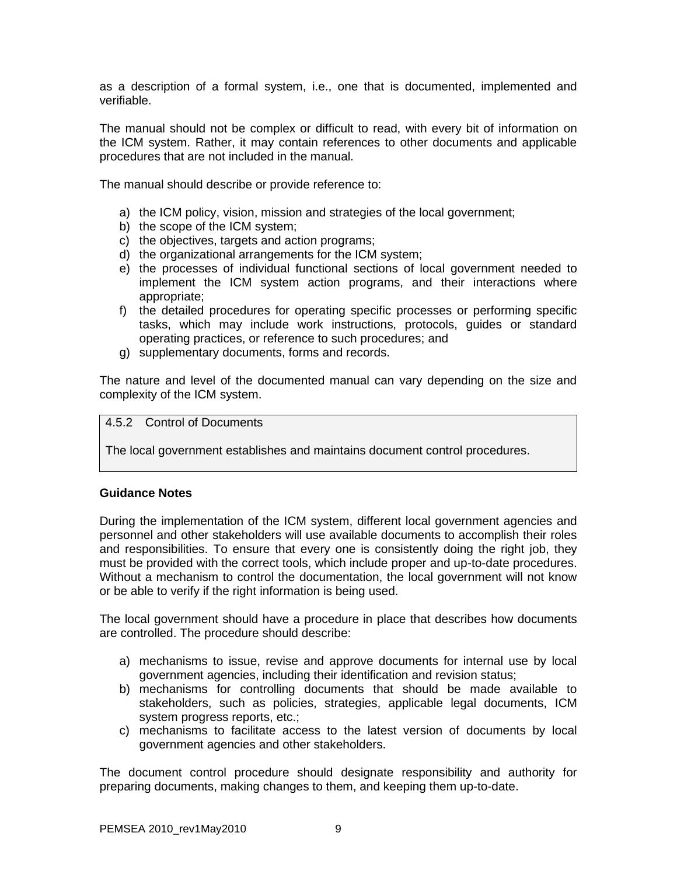as a description of a formal system, i.e., one that is documented, implemented and verifiable.

The manual should not be complex or difficult to read, with every bit of information on the ICM system. Rather, it may contain references to other documents and applicable procedures that are not included in the manual.

The manual should describe or provide reference to:

- a) the ICM policy, vision, mission and strategies of the local government;
- b) the scope of the ICM system;
- c) the objectives, targets and action programs;
- d) the organizational arrangements for the ICM system;
- e) the processes of individual functional sections of local government needed to implement the ICM system action programs, and their interactions where appropriate;
- f) the detailed procedures for operating specific processes or performing specific tasks, which may include work instructions, protocols, guides or standard operating practices, or reference to such procedures; and
- g) supplementary documents, forms and records.

The nature and level of the documented manual can vary depending on the size and complexity of the ICM system.

### 4.5.2 Control of Documents

The local government establishes and maintains document control procedures.

### **Guidance Notes**

During the implementation of the ICM system, different local government agencies and personnel and other stakeholders will use available documents to accomplish their roles and responsibilities. To ensure that every one is consistently doing the right job, they must be provided with the correct tools, which include proper and up-to-date procedures. Without a mechanism to control the documentation, the local government will not know or be able to verify if the right information is being used.

The local government should have a procedure in place that describes how documents are controlled. The procedure should describe:

- a) mechanisms to issue, revise and approve documents for internal use by local government agencies, including their identification and revision status;
- b) mechanisms for controlling documents that should be made available to stakeholders, such as policies, strategies, applicable legal documents, ICM system progress reports, etc.;
- c) mechanisms to facilitate access to the latest version of documents by local government agencies and other stakeholders.

The document control procedure should designate responsibility and authority for preparing documents, making changes to them, and keeping them up-to-date.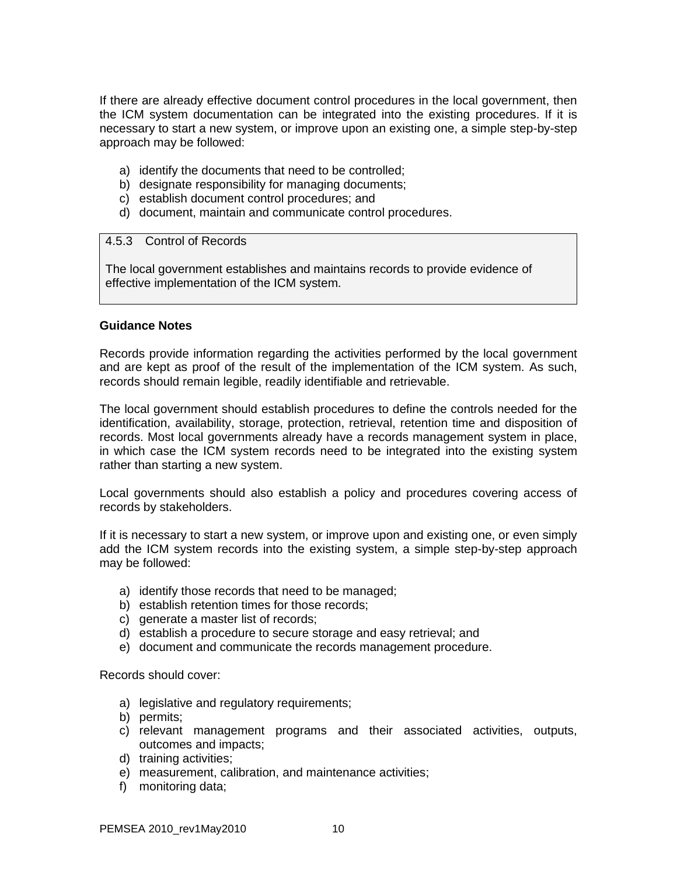If there are already effective document control procedures in the local government, then the ICM system documentation can be integrated into the existing procedures. If it is necessary to start a new system, or improve upon an existing one, a simple step-by-step approach may be followed:

- a) identify the documents that need to be controlled;
- b) designate responsibility for managing documents;
- c) establish document control procedures; and
- d) document, maintain and communicate control procedures.

### 4.5.3 Control of Records

The local government establishes and maintains records to provide evidence of effective implementation of the ICM system.

### **Guidance Notes**

Records provide information regarding the activities performed by the local government and are kept as proof of the result of the implementation of the ICM system. As such, records should remain legible, readily identifiable and retrievable.

The local government should establish procedures to define the controls needed for the identification, availability, storage, protection, retrieval, retention time and disposition of records. Most local governments already have a records management system in place, in which case the ICM system records need to be integrated into the existing system rather than starting a new system.

Local governments should also establish a policy and procedures covering access of records by stakeholders.

If it is necessary to start a new system, or improve upon and existing one, or even simply add the ICM system records into the existing system, a simple step-by-step approach may be followed:

- a) identify those records that need to be managed;
- b) establish retention times for those records;
- c) generate a master list of records;
- d) establish a procedure to secure storage and easy retrieval; and
- e) document and communicate the records management procedure.

Records should cover:

- a) legislative and regulatory requirements;
- b) permits;
- c) relevant management programs and their associated activities, outputs, outcomes and impacts;
- d) training activities;
- e) measurement, calibration, and maintenance activities;
- f) monitoring data;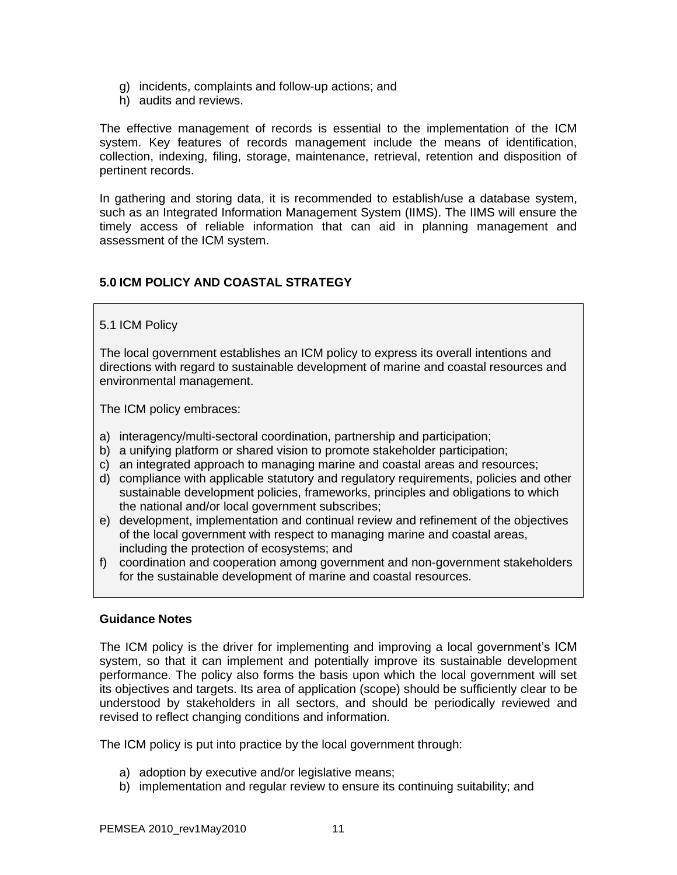- g) incidents, complaints and follow-up actions; and
- h) audits and reviews.

The effective management of records is essential to the implementation of the ICM system. Key features of records management include the means of identification, collection, indexing, filing, storage, maintenance, retrieval, retention and disposition of pertinent records.

In gathering and storing data, it is recommended to establish/use a database system, such as an Integrated Information Management System (IIMS). The IIMS will ensure the timely access of reliable information that can aid in planning management and assessment of the ICM system.

# **5.0 ICM POLICY AND COASTAL STRATEGY**

## 5.1 ICM Policy

The local government establishes an ICM policy to express its overall intentions and directions with regard to sustainable development of marine and coastal resources and environmental management.

The ICM policy embraces:

- a) interagency/multi-sectoral coordination, partnership and participation;
- b) a unifying platform or shared vision to promote stakeholder participation;
- c) an integrated approach to managing marine and coastal areas and resources;
- d) compliance with applicable statutory and regulatory requirements, policies and other sustainable development policies, frameworks, principles and obligations to which the national and/or local government subscribes;
- e) development, implementation and continual review and refinement of the objectives of the local government with respect to managing marine and coastal areas, including the protection of ecosystems; and
- f) coordination and cooperation among government and non-government stakeholders for the sustainable development of marine and coastal resources.

## **Guidance Notes**

The ICM policy is the driver for implementing and improving a local government's ICM system, so that it can implement and potentially improve its sustainable development performance. The policy also forms the basis upon which the local government will set its objectives and targets. Its area of application (scope) should be sufficiently clear to be understood by stakeholders in all sectors, and should be periodically reviewed and revised to reflect changing conditions and information.

The ICM policy is put into practice by the local government through:

- a) adoption by executive and/or legislative means;
- b) implementation and regular review to ensure its continuing suitability; and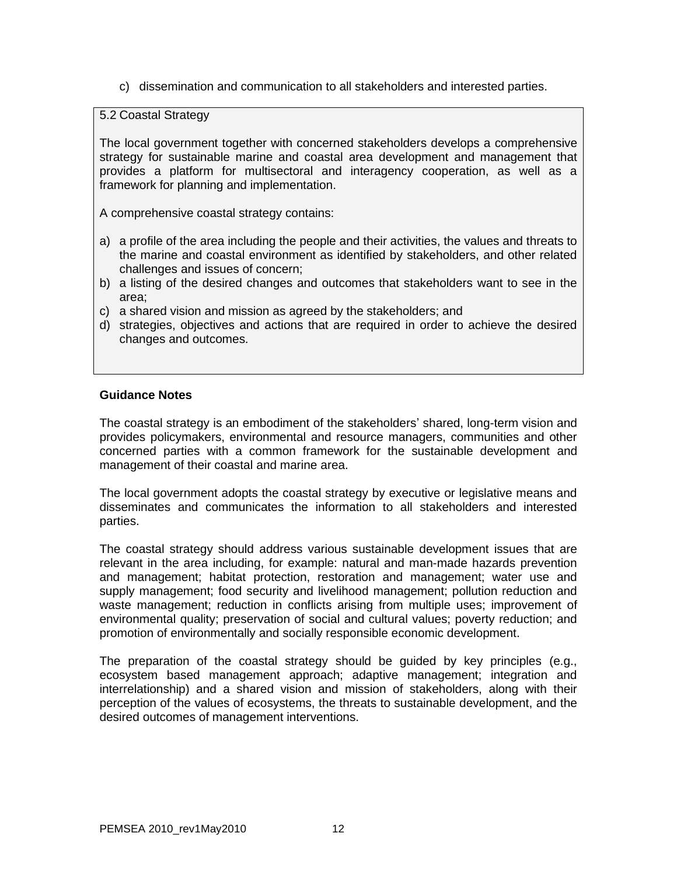c) dissemination and communication to all stakeholders and interested parties.

5.2 Coastal Strategy

The local government together with concerned stakeholders develops a comprehensive strategy for sustainable marine and coastal area development and management that provides a platform for multisectoral and interagency cooperation, as well as a framework for planning and implementation.

A comprehensive coastal strategy contains:

- a) a profile of the area including the people and their activities, the values and threats to the marine and coastal environment as identified by stakeholders, and other related challenges and issues of concern;
- b) a listing of the desired changes and outcomes that stakeholders want to see in the area;
- c) a shared vision and mission as agreed by the stakeholders; and
- d) strategies, objectives and actions that are required in order to achieve the desired changes and outcomes.

### **Guidance Notes**

The coastal strategy is an embodiment of the stakeholders' shared, long-term vision and provides policymakers, environmental and resource managers, communities and other concerned parties with a common framework for the sustainable development and management of their coastal and marine area.

The local government adopts the coastal strategy by executive or legislative means and disseminates and communicates the information to all stakeholders and interested parties.

The coastal strategy should address various sustainable development issues that are relevant in the area including, for example: natural and man-made hazards prevention and management; habitat protection, restoration and management; water use and supply management; food security and livelihood management; pollution reduction and waste management; reduction in conflicts arising from multiple uses; improvement of environmental quality; preservation of social and cultural values; poverty reduction; and promotion of environmentally and socially responsible economic development.

The preparation of the coastal strategy should be guided by key principles (e.g., ecosystem based management approach; adaptive management; integration and interrelationship) and a shared vision and mission of stakeholders, along with their perception of the values of ecosystems, the threats to sustainable development, and the desired outcomes of management interventions.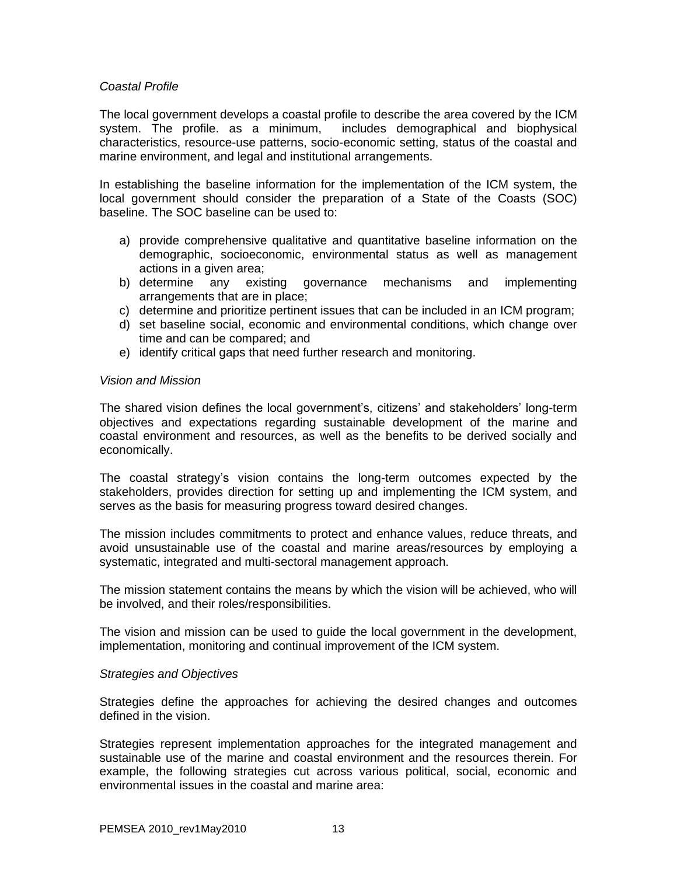### *Coastal Profile*

The local government develops a coastal profile to describe the area covered by the ICM system. The profile. as a minimum, includes demographical and biophysical characteristics, resource-use patterns, socio-economic setting, status of the coastal and marine environment, and legal and institutional arrangements.

In establishing the baseline information for the implementation of the ICM system, the local government should consider the preparation of a State of the Coasts (SOC) baseline. The SOC baseline can be used to:

- a) provide comprehensive qualitative and quantitative baseline information on the demographic, socioeconomic, environmental status as well as management actions in a given area;
- b) determine any existing governance mechanisms and implementing arrangements that are in place;
- c) determine and prioritize pertinent issues that can be included in an ICM program;
- d) set baseline social, economic and environmental conditions, which change over time and can be compared; and
- e) identify critical gaps that need further research and monitoring.

### *Vision and Mission*

The shared vision defines the local government's, citizens' and stakeholders' long-term objectives and expectations regarding sustainable development of the marine and coastal environment and resources, as well as the benefits to be derived socially and economically.

The coastal strategy's vision contains the long-term outcomes expected by the stakeholders, provides direction for setting up and implementing the ICM system, and serves as the basis for measuring progress toward desired changes.

The mission includes commitments to protect and enhance values, reduce threats, and avoid unsustainable use of the coastal and marine areas/resources by employing a systematic, integrated and multi-sectoral management approach.

The mission statement contains the means by which the vision will be achieved, who will be involved, and their roles/responsibilities.

The vision and mission can be used to guide the local government in the development, implementation, monitoring and continual improvement of the ICM system.

### *Strategies and Objectives*

Strategies define the approaches for achieving the desired changes and outcomes defined in the vision.

Strategies represent implementation approaches for the integrated management and sustainable use of the marine and coastal environment and the resources therein. For example, the following strategies cut across various political, social, economic and environmental issues in the coastal and marine area: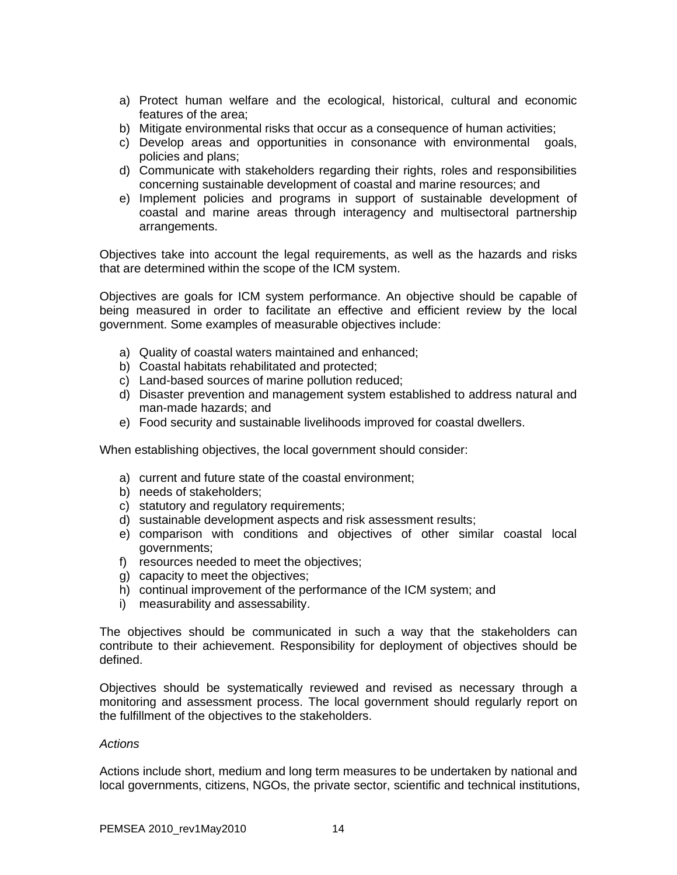- a) Protect human welfare and the ecological, historical, cultural and economic features of the area;
- b) Mitigate environmental risks that occur as a consequence of human activities;
- c) Develop areas and opportunities in consonance with environmental goals, policies and plans;
- d) Communicate with stakeholders regarding their rights, roles and responsibilities concerning sustainable development of coastal and marine resources; and
- e) Implement policies and programs in support of sustainable development of coastal and marine areas through interagency and multisectoral partnership arrangements.

Objectives take into account the legal requirements, as well as the hazards and risks that are determined within the scope of the ICM system.

Objectives are goals for ICM system performance. An objective should be capable of being measured in order to facilitate an effective and efficient review by the local government. Some examples of measurable objectives include:

- a) Quality of coastal waters maintained and enhanced;
- b) Coastal habitats rehabilitated and protected;
- c) Land-based sources of marine pollution reduced;
- d) Disaster prevention and management system established to address natural and man-made hazards; and
- e) Food security and sustainable livelihoods improved for coastal dwellers.

When establishing objectives, the local government should consider:

- a) current and future state of the coastal environment;
- b) needs of stakeholders;
- c) statutory and regulatory requirements;
- d) sustainable development aspects and risk assessment results;
- e) comparison with conditions and objectives of other similar coastal local governments;
- f) resources needed to meet the objectives;
- g) capacity to meet the objectives;
- h) continual improvement of the performance of the ICM system; and
- i) measurability and assessability.

The objectives should be communicated in such a way that the stakeholders can contribute to their achievement. Responsibility for deployment of objectives should be defined.

Objectives should be systematically reviewed and revised as necessary through a monitoring and assessment process. The local government should regularly report on the fulfillment of the objectives to the stakeholders.

### *Actions*

Actions include short, medium and long term measures to be undertaken by national and local governments, citizens, NGOs, the private sector, scientific and technical institutions,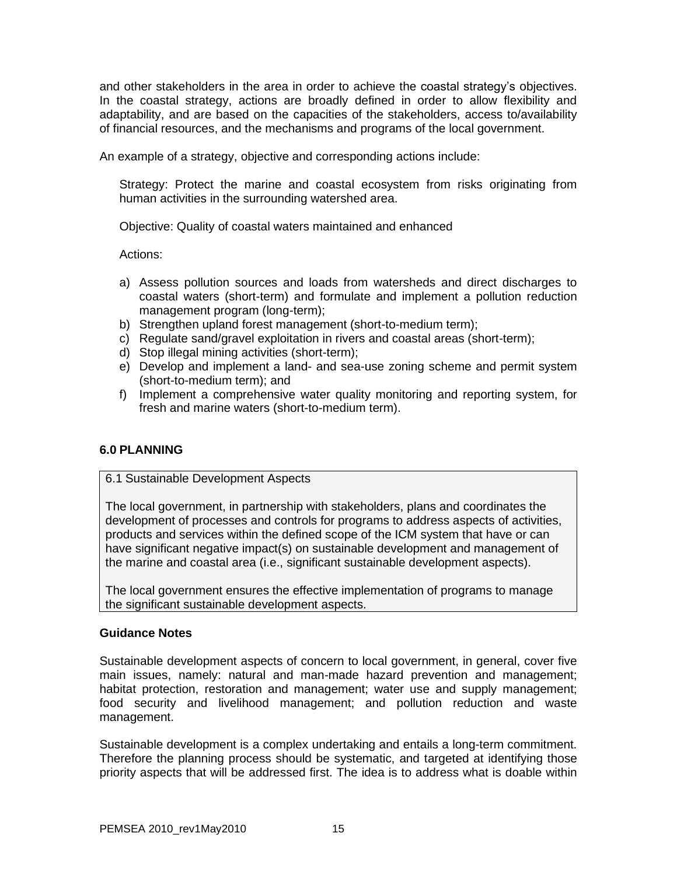and other stakeholders in the area in order to achieve the coastal strategy's objectives. In the coastal strategy, actions are broadly defined in order to allow flexibility and adaptability, and are based on the capacities of the stakeholders, access to/availability of financial resources, and the mechanisms and programs of the local government.

An example of a strategy, objective and corresponding actions include:

Strategy: Protect the marine and coastal ecosystem from risks originating from human activities in the surrounding watershed area.

Objective: Quality of coastal waters maintained and enhanced

Actions:

- a) Assess pollution sources and loads from watersheds and direct discharges to coastal waters (short-term) and formulate and implement a pollution reduction management program (long-term);
- b) Strengthen upland forest management (short-to-medium term);
- c) Regulate sand/gravel exploitation in rivers and coastal areas (short-term);
- d) Stop illegal mining activities (short-term);
- e) Develop and implement a land- and sea-use zoning scheme and permit system (short-to-medium term); and
- f) Implement a comprehensive water quality monitoring and reporting system, for fresh and marine waters (short-to-medium term).

## **6.0 PLANNING**

### 6.1 Sustainable Development Aspects

The local government, in partnership with stakeholders, plans and coordinates the development of processes and controls for programs to address aspects of activities, products and services within the defined scope of the ICM system that have or can have significant negative impact(s) on sustainable development and management of the marine and coastal area (i.e., significant sustainable development aspects).

The local government ensures the effective implementation of programs to manage the significant sustainable development aspects.

### **Guidance Notes**

Sustainable development aspects of concern to local government, in general, cover five main issues, namely: natural and man-made hazard prevention and management; habitat protection, restoration and management; water use and supply management; food security and livelihood management; and pollution reduction and waste management.

Sustainable development is a complex undertaking and entails a long-term commitment. Therefore the planning process should be systematic, and targeted at identifying those priority aspects that will be addressed first. The idea is to address what is doable within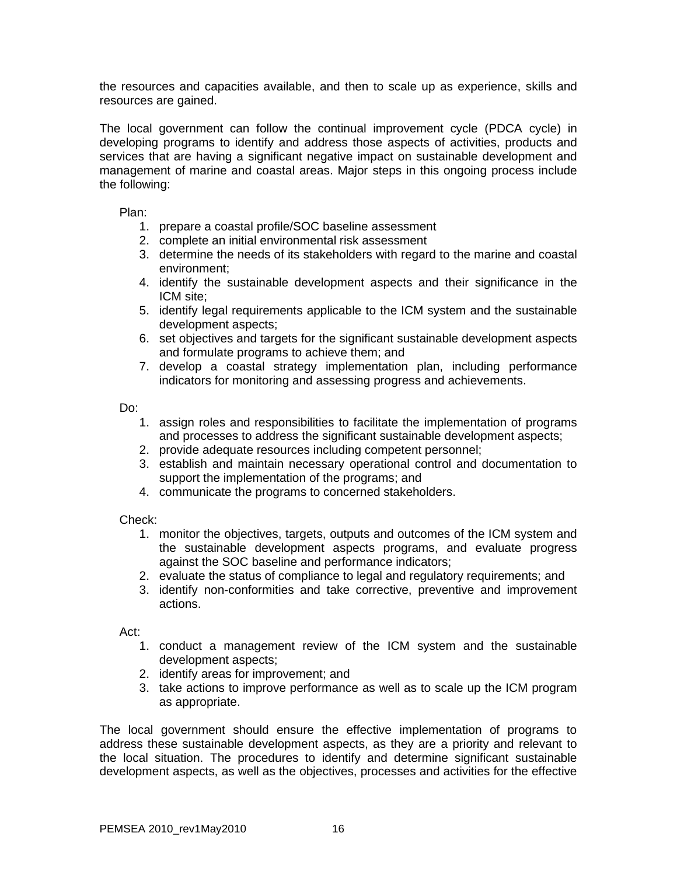the resources and capacities available, and then to scale up as experience, skills and resources are gained.

The local government can follow the continual improvement cycle (PDCA cycle) in developing programs to identify and address those aspects of activities, products and services that are having a significant negative impact on sustainable development and management of marine and coastal areas. Major steps in this ongoing process include the following:

Plan:

- 1. prepare a coastal profile/SOC baseline assessment
- 2. complete an initial environmental risk assessment
- 3. determine the needs of its stakeholders with regard to the marine and coastal environment;
- 4. identify the sustainable development aspects and their significance in the ICM site;
- 5. identify legal requirements applicable to the ICM system and the sustainable development aspects;
- 6. set objectives and targets for the significant sustainable development aspects and formulate programs to achieve them; and
- 7. develop a coastal strategy implementation plan, including performance indicators for monitoring and assessing progress and achievements.

Do:

- 1. assign roles and responsibilities to facilitate the implementation of programs and processes to address the significant sustainable development aspects;
- 2. provide adequate resources including competent personnel;
- 3. establish and maintain necessary operational control and documentation to support the implementation of the programs; and
- 4. communicate the programs to concerned stakeholders.

Check:

- 1. monitor the objectives, targets, outputs and outcomes of the ICM system and the sustainable development aspects programs, and evaluate progress against the SOC baseline and performance indicators;
- 2. evaluate the status of compliance to legal and regulatory requirements; and
- 3. identify non-conformities and take corrective, preventive and improvement actions.

Act:

- 1. conduct a management review of the ICM system and the sustainable development aspects;
- 2. identify areas for improvement; and
- 3. take actions to improve performance as well as to scale up the ICM program as appropriate.

The local government should ensure the effective implementation of programs to address these sustainable development aspects, as they are a priority and relevant to the local situation. The procedures to identify and determine significant sustainable development aspects, as well as the objectives, processes and activities for the effective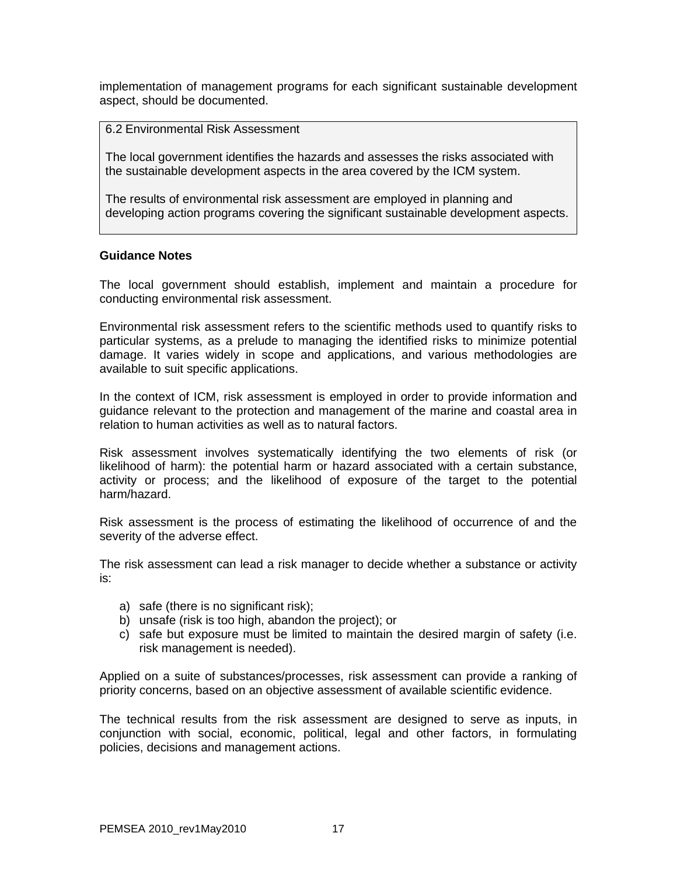implementation of management programs for each significant sustainable development aspect, should be documented.

6.2 Environmental Risk Assessment

The local government identifies the hazards and assesses the risks associated with the sustainable development aspects in the area covered by the ICM system.

The results of environmental risk assessment are employed in planning and developing action programs covering the significant sustainable development aspects.

#### **Guidance Notes**

The local government should establish, implement and maintain a procedure for conducting environmental risk assessment.

Environmental risk assessment refers to the scientific methods used to quantify risks to particular systems, as a prelude to managing the identified risks to minimize potential damage. It varies widely in scope and applications, and various methodologies are available to suit specific applications.

In the context of ICM, risk assessment is employed in order to provide information and guidance relevant to the protection and management of the marine and coastal area in relation to human activities as well as to natural factors.

Risk assessment involves systematically identifying the two elements of risk (or likelihood of harm): the potential harm or hazard associated with a certain substance, activity or process; and the likelihood of exposure of the target to the potential harm/hazard.

Risk assessment is the process of estimating the likelihood of occurrence of and the severity of the adverse effect.

The risk assessment can lead a risk manager to decide whether a substance or activity is:

- a) safe (there is no significant risk);
- b) unsafe (risk is too high, abandon the project); or
- c) safe but exposure must be limited to maintain the desired margin of safety (i.e. risk management is needed).

Applied on a suite of substances/processes, risk assessment can provide a ranking of priority concerns, based on an objective assessment of available scientific evidence.

The technical results from the risk assessment are designed to serve as inputs, in conjunction with social, economic, political, legal and other factors, in formulating policies, decisions and management actions.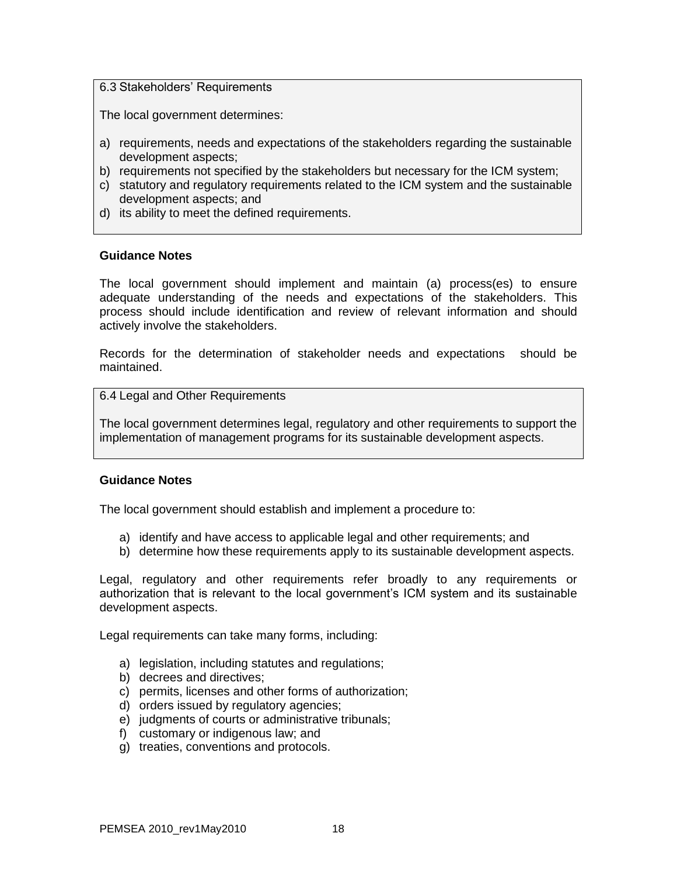### 6.3 Stakeholders' Requirements

The local government determines:

- a) requirements, needs and expectations of the stakeholders regarding the sustainable development aspects;
- b) requirements not specified by the stakeholders but necessary for the ICM system;
- c) statutory and regulatory requirements related to the ICM system and the sustainable development aspects; and
- d) its ability to meet the defined requirements.

### **Guidance Notes**

The local government should implement and maintain (a) process(es) to ensure adequate understanding of the needs and expectations of the stakeholders. This process should include identification and review of relevant information and should actively involve the stakeholders.

Records for the determination of stakeholder needs and expectations should be maintained.

6.4 Legal and Other Requirements

The local government determines legal, regulatory and other requirements to support the implementation of management programs for its sustainable development aspects.

### **Guidance Notes**

The local government should establish and implement a procedure to:

- a) identify and have access to applicable legal and other requirements; and
- b) determine how these requirements apply to its sustainable development aspects.

Legal, regulatory and other requirements refer broadly to any requirements or authorization that is relevant to the local government's ICM system and its sustainable development aspects.

Legal requirements can take many forms, including:

- a) legislation, including statutes and regulations;
- b) decrees and directives:
- c) permits, licenses and other forms of authorization;
- d) orders issued by regulatory agencies;
- e) judgments of courts or administrative tribunals;
- f) customary or indigenous law; and
- g) treaties, conventions and protocols.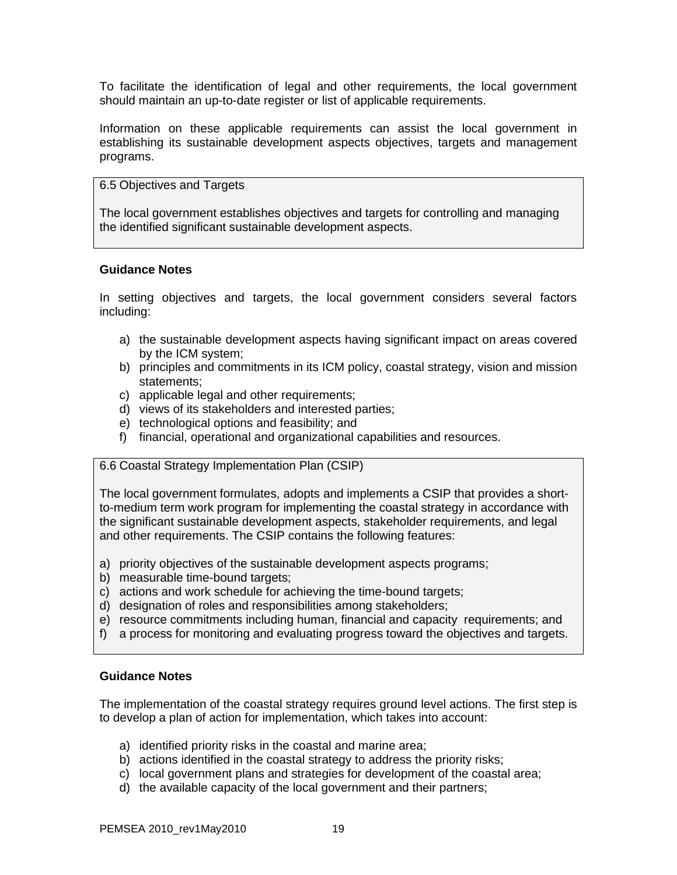To facilitate the identification of legal and other requirements, the local government should maintain an up-to-date register or list of applicable requirements.

Information on these applicable requirements can assist the local government in establishing its sustainable development aspects objectives, targets and management programs.

### 6.5 Objectives and Targets

The local government establishes objectives and targets for controlling and managing the identified significant sustainable development aspects.

### **Guidance Notes**

In setting objectives and targets, the local government considers several factors including:

- a) the sustainable development aspects having significant impact on areas covered by the ICM system;
- b) principles and commitments in its ICM policy, coastal strategy, vision and mission statements;
- c) applicable legal and other requirements;
- d) views of its stakeholders and interested parties;
- e) technological options and feasibility; and
- f) financial, operational and organizational capabilities and resources.

## 6.6 Coastal Strategy Implementation Plan (CSIP)

The local government formulates, adopts and implements a CSIP that provides a shortto-medium term work program for implementing the coastal strategy in accordance with the significant sustainable development aspects, stakeholder requirements, and legal and other requirements. The CSIP contains the following features:

- a) priority objectives of the sustainable development aspects programs;
- b) measurable time-bound targets;
- c) actions and work schedule for achieving the time-bound targets;
- d) designation of roles and responsibilities among stakeholders;
- e) resource commitments including human, financial and capacity requirements; and
- f) a process for monitoring and evaluating progress toward the objectives and targets.

### **Guidance Notes**

The implementation of the coastal strategy requires ground level actions. The first step is to develop a plan of action for implementation, which takes into account:

- a) identified priority risks in the coastal and marine area;
- b) actions identified in the coastal strategy to address the priority risks;
- c) local government plans and strategies for development of the coastal area;
- d) the available capacity of the local government and their partners;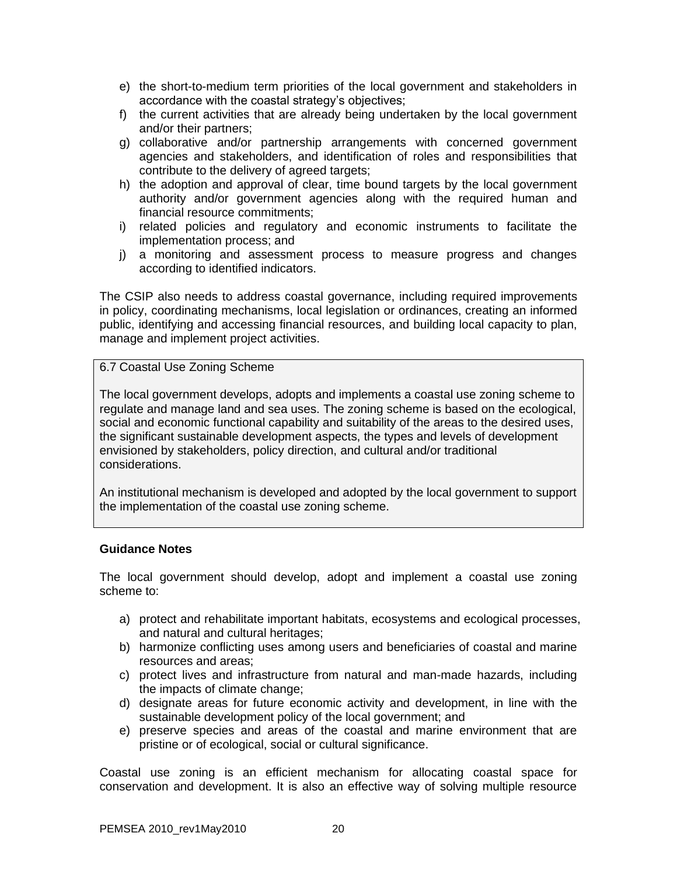- e) the short-to-medium term priorities of the local government and stakeholders in accordance with the coastal strategy's objectives;
- f) the current activities that are already being undertaken by the local government and/or their partners;
- g) collaborative and/or partnership arrangements with concerned government agencies and stakeholders, and identification of roles and responsibilities that contribute to the delivery of agreed targets;
- h) the adoption and approval of clear, time bound targets by the local government authority and/or government agencies along with the required human and financial resource commitments;
- i) related policies and regulatory and economic instruments to facilitate the implementation process; and
- j) a monitoring and assessment process to measure progress and changes according to identified indicators.

The CSIP also needs to address coastal governance, including required improvements in policy, coordinating mechanisms, local legislation or ordinances, creating an informed public, identifying and accessing financial resources, and building local capacity to plan, manage and implement project activities.

6.7 Coastal Use Zoning Scheme

The local government develops, adopts and implements a coastal use zoning scheme to regulate and manage land and sea uses. The zoning scheme is based on the ecological, social and economic functional capability and suitability of the areas to the desired uses, the significant sustainable development aspects, the types and levels of development envisioned by stakeholders, policy direction, and cultural and/or traditional considerations.

An institutional mechanism is developed and adopted by the local government to support the implementation of the coastal use zoning scheme.

## **Guidance Notes**

The local government should develop, adopt and implement a coastal use zoning scheme to:

- a) protect and rehabilitate important habitats, ecosystems and ecological processes, and natural and cultural heritages;
- b) harmonize conflicting uses among users and beneficiaries of coastal and marine resources and areas;
- c) protect lives and infrastructure from natural and man-made hazards, including the impacts of climate change;
- d) designate areas for future economic activity and development, in line with the sustainable development policy of the local government; and
- e) preserve species and areas of the coastal and marine environment that are pristine or of ecological, social or cultural significance.

Coastal use zoning is an efficient mechanism for allocating coastal space for conservation and development. It is also an effective way of solving multiple resource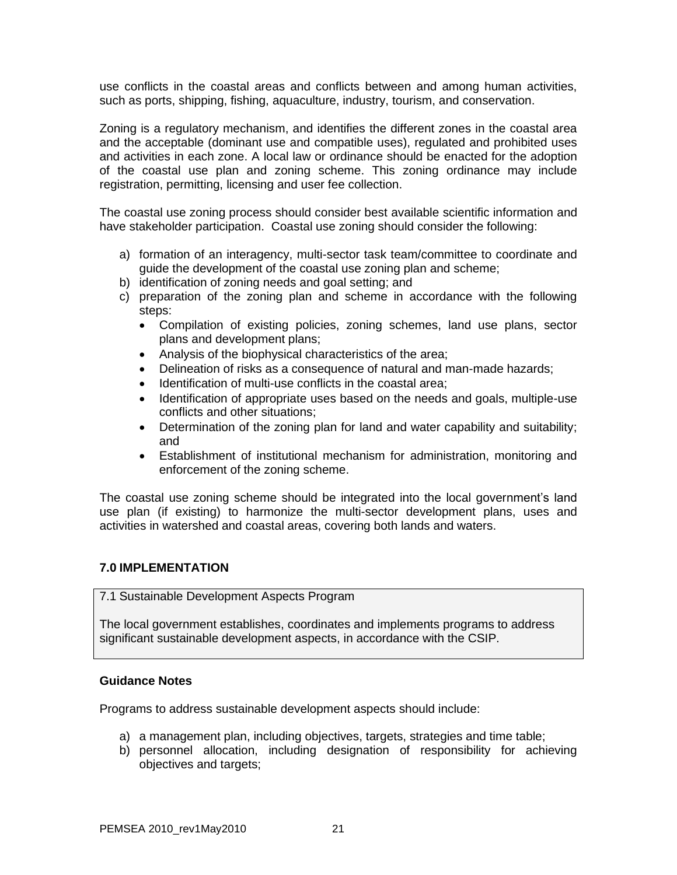use conflicts in the coastal areas and conflicts between and among human activities, such as ports, shipping, fishing, aquaculture, industry, tourism, and conservation.

Zoning is a regulatory mechanism, and identifies the different zones in the coastal area and the acceptable (dominant use and compatible uses), regulated and prohibited uses and activities in each zone. A local law or ordinance should be enacted for the adoption of the coastal use plan and zoning scheme. This zoning ordinance may include registration, permitting, licensing and user fee collection.

The coastal use zoning process should consider best available scientific information and have stakeholder participation. Coastal use zoning should consider the following:

- a) formation of an interagency, multi-sector task team/committee to coordinate and guide the development of the coastal use zoning plan and scheme;
- b) identification of zoning needs and goal setting; and
- c) preparation of the zoning plan and scheme in accordance with the following steps:
	- Compilation of existing policies, zoning schemes, land use plans, sector plans and development plans;
	- Analysis of the biophysical characteristics of the area;
	- Delineation of risks as a consequence of natural and man-made hazards;
	- Identification of multi-use conflicts in the coastal area;
	- Identification of appropriate uses based on the needs and goals, multiple-use conflicts and other situations;
	- Determination of the zoning plan for land and water capability and suitability; and
	- Establishment of institutional mechanism for administration, monitoring and enforcement of the zoning scheme.

The coastal use zoning scheme should be integrated into the local government's land use plan (if existing) to harmonize the multi-sector development plans, uses and activities in watershed and coastal areas, covering both lands and waters.

## **7.0 IMPLEMENTATION**

7.1 Sustainable Development Aspects Program

The local government establishes, coordinates and implements programs to address significant sustainable development aspects, in accordance with the CSIP.

### **Guidance Notes**

Programs to address sustainable development aspects should include:

- a) a management plan, including objectives, targets, strategies and time table;
- b) personnel allocation, including designation of responsibility for achieving objectives and targets;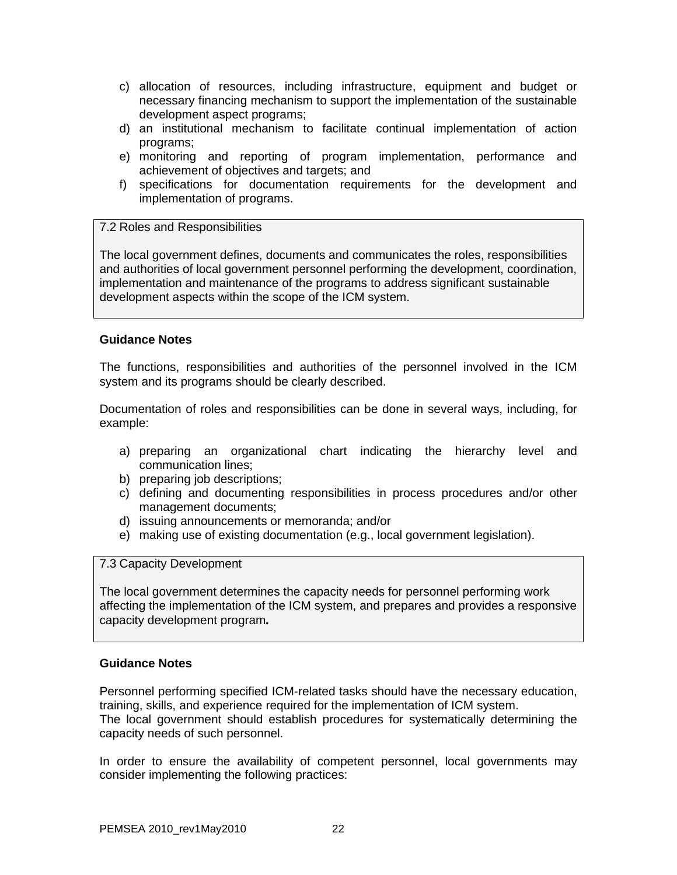- c) allocation of resources, including infrastructure, equipment and budget or necessary financing mechanism to support the implementation of the sustainable development aspect programs;
- d) an institutional mechanism to facilitate continual implementation of action programs;
- e) monitoring and reporting of program implementation, performance and achievement of objectives and targets; and
- f) specifications for documentation requirements for the development and implementation of programs.

### 7.2 Roles and Responsibilities

The local government defines, documents and communicates the roles, responsibilities and authorities of local government personnel performing the development, coordination, implementation and maintenance of the programs to address significant sustainable development aspects within the scope of the ICM system.

### **Guidance Notes**

The functions, responsibilities and authorities of the personnel involved in the ICM system and its programs should be clearly described.

Documentation of roles and responsibilities can be done in several ways, including, for example:

- a) preparing an organizational chart indicating the hierarchy level and communication lines;
- b) preparing job descriptions;
- c) defining and documenting responsibilities in process procedures and/or other management documents;
- d) issuing announcements or memoranda; and/or
- e) making use of existing documentation (e.g., local government legislation).

## 7.3 Capacity Development

The local government determines the capacity needs for personnel performing work affecting the implementation of the ICM system, and prepares and provides a responsive capacity development program*.*

### **Guidance Notes**

Personnel performing specified ICM-related tasks should have the necessary education, training, skills, and experience required for the implementation of ICM system. The local government should establish procedures for systematically determining the capacity needs of such personnel.

In order to ensure the availability of competent personnel, local governments may consider implementing the following practices: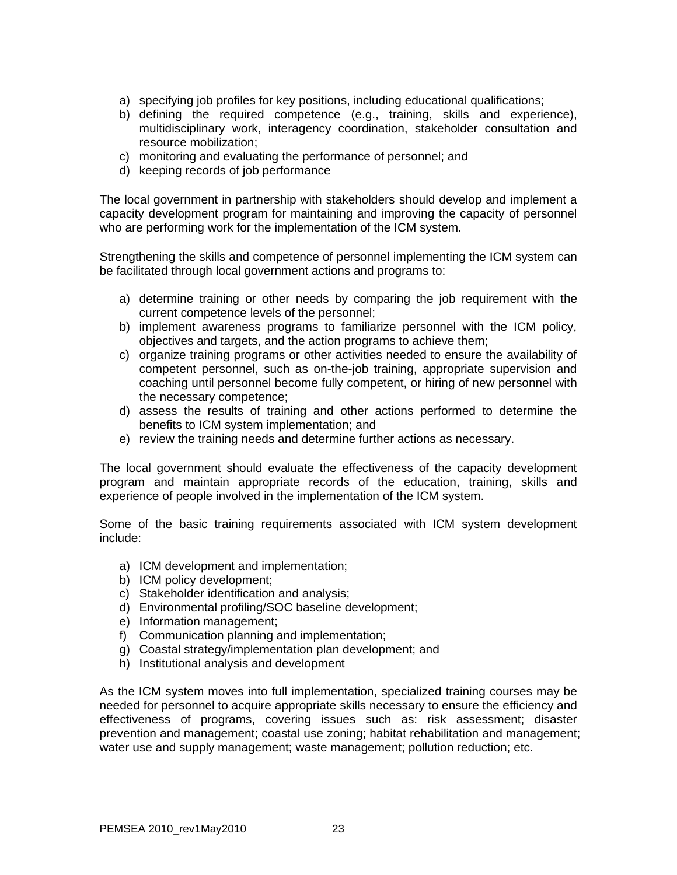- a) specifying job profiles for key positions, including educational qualifications;
- b) defining the required competence (e.g., training, skills and experience), multidisciplinary work, interagency coordination, stakeholder consultation and resource mobilization;
- c) monitoring and evaluating the performance of personnel; and
- d) keeping records of job performance

The local government in partnership with stakeholders should develop and implement a capacity development program for maintaining and improving the capacity of personnel who are performing work for the implementation of the ICM system.

Strengthening the skills and competence of personnel implementing the ICM system can be facilitated through local government actions and programs to:

- a) determine training or other needs by comparing the job requirement with the current competence levels of the personnel;
- b) implement awareness programs to familiarize personnel with the ICM policy, objectives and targets, and the action programs to achieve them;
- c) organize training programs or other activities needed to ensure the availability of competent personnel, such as on-the-job training, appropriate supervision and coaching until personnel become fully competent, or hiring of new personnel with the necessary competence;
- d) assess the results of training and other actions performed to determine the benefits to ICM system implementation; and
- e) review the training needs and determine further actions as necessary.

The local government should evaluate the effectiveness of the capacity development program and maintain appropriate records of the education, training, skills and experience of people involved in the implementation of the ICM system.

Some of the basic training requirements associated with ICM system development include:

- a) ICM development and implementation;
- b) ICM policy development;
- c) Stakeholder identification and analysis;
- d) Environmental profiling/SOC baseline development;
- e) Information management;
- f) Communication planning and implementation;
- g) Coastal strategy/implementation plan development; and
- h) Institutional analysis and development

As the ICM system moves into full implementation, specialized training courses may be needed for personnel to acquire appropriate skills necessary to ensure the efficiency and effectiveness of programs, covering issues such as: risk assessment; disaster prevention and management; coastal use zoning; habitat rehabilitation and management; water use and supply management; waste management; pollution reduction; etc.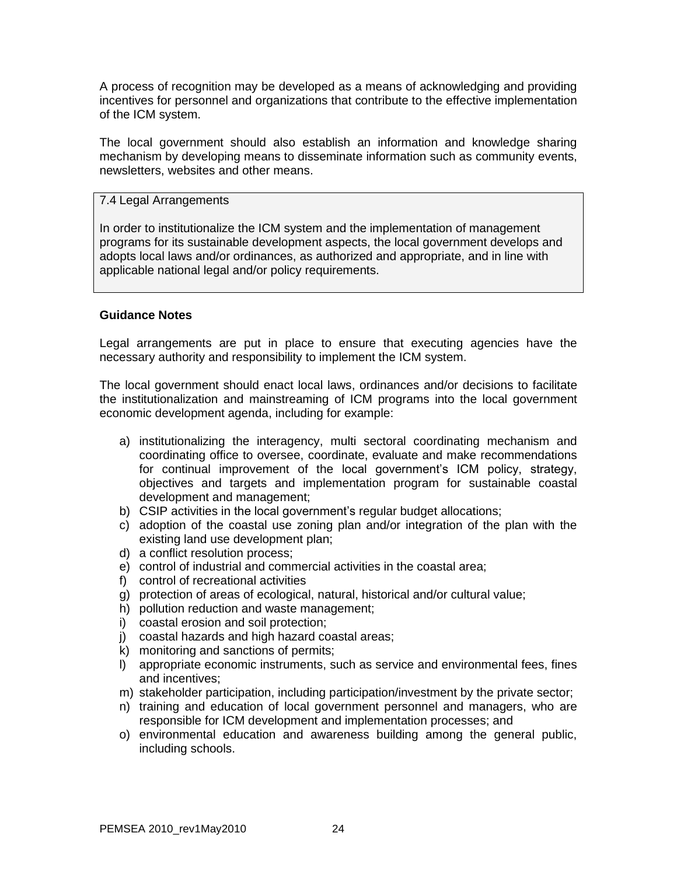A process of recognition may be developed as a means of acknowledging and providing incentives for personnel and organizations that contribute to the effective implementation of the ICM system.

The local government should also establish an information and knowledge sharing mechanism by developing means to disseminate information such as community events, newsletters, websites and other means.

# 7.4 Legal Arrangements

In order to institutionalize the ICM system and the implementation of management programs for its sustainable development aspects, the local government develops and adopts local laws and/or ordinances, as authorized and appropriate, and in line with applicable national legal and/or policy requirements.

### **Guidance Notes**

Legal arrangements are put in place to ensure that executing agencies have the necessary authority and responsibility to implement the ICM system.

The local government should enact local laws, ordinances and/or decisions to facilitate the institutionalization and mainstreaming of ICM programs into the local government economic development agenda, including for example:

- a) institutionalizing the interagency, multi sectoral coordinating mechanism and coordinating office to oversee, coordinate, evaluate and make recommendations for continual improvement of the local government's ICM policy, strategy, objectives and targets and implementation program for sustainable coastal development and management;
- b) CSIP activities in the local government's regular budget allocations;
- c) adoption of the coastal use zoning plan and/or integration of the plan with the existing land use development plan;
- d) a conflict resolution process;
- e) control of industrial and commercial activities in the coastal area;
- f) control of recreational activities
- g) protection of areas of ecological, natural, historical and/or cultural value;
- h) pollution reduction and waste management;
- i) coastal erosion and soil protection;
- j) coastal hazards and high hazard coastal areas;
- $k$ ) monitoring and sanctions of permits;
- l) appropriate economic instruments, such as service and environmental fees, fines and incentives;
- m) stakeholder participation, including participation/investment by the private sector;
- n) training and education of local government personnel and managers, who are responsible for ICM development and implementation processes; and
- o) environmental education and awareness building among the general public, including schools.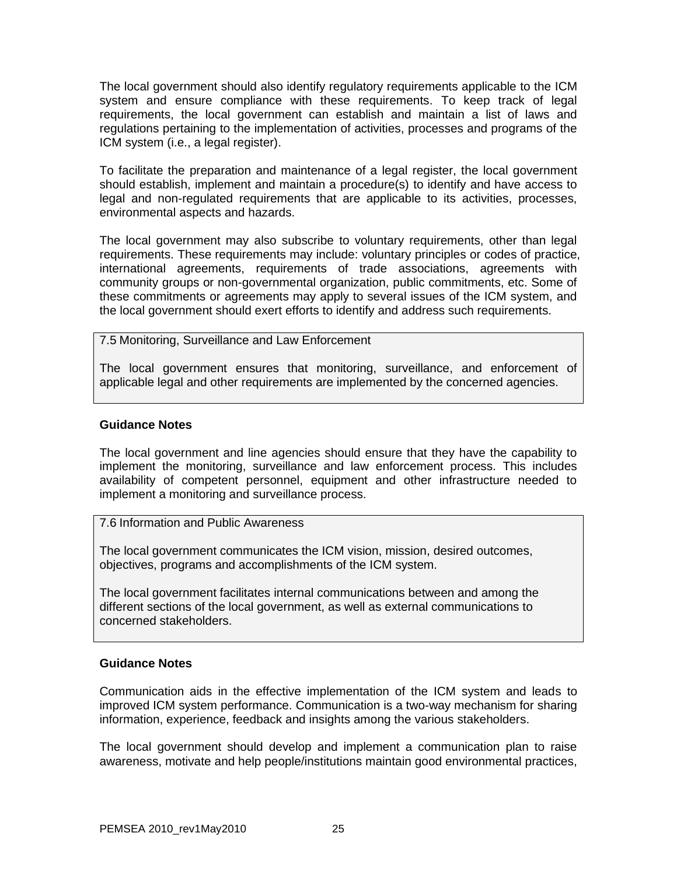The local government should also identify regulatory requirements applicable to the ICM system and ensure compliance with these requirements. To keep track of legal requirements, the local government can establish and maintain a list of laws and regulations pertaining to the implementation of activities, processes and programs of the ICM system (i.e., a legal register).

To facilitate the preparation and maintenance of a legal register, the local government should establish, implement and maintain a procedure(s) to identify and have access to legal and non-regulated requirements that are applicable to its activities, processes, environmental aspects and hazards.

The local government may also subscribe to voluntary requirements, other than legal requirements. These requirements may include: voluntary principles or codes of practice, international agreements, requirements of trade associations, agreements with community groups or non-governmental organization, public commitments, etc. Some of these commitments or agreements may apply to several issues of the ICM system, and the local government should exert efforts to identify and address such requirements.

### 7.5 Monitoring, Surveillance and Law Enforcement

The local government ensures that monitoring, surveillance, and enforcement of applicable legal and other requirements are implemented by the concerned agencies.

### **Guidance Notes**

The local government and line agencies should ensure that they have the capability to implement the monitoring, surveillance and law enforcement process. This includes availability of competent personnel, equipment and other infrastructure needed to implement a monitoring and surveillance process.

### 7.6 Information and Public Awareness

The local government communicates the ICM vision, mission, desired outcomes, objectives, programs and accomplishments of the ICM system.

The local government facilitates internal communications between and among the different sections of the local government, as well as external communications to concerned stakeholders.

### **Guidance Notes**

Communication aids in the effective implementation of the ICM system and leads to improved ICM system performance. Communication is a two-way mechanism for sharing information, experience, feedback and insights among the various stakeholders.

The local government should develop and implement a communication plan to raise awareness, motivate and help people/institutions maintain good environmental practices,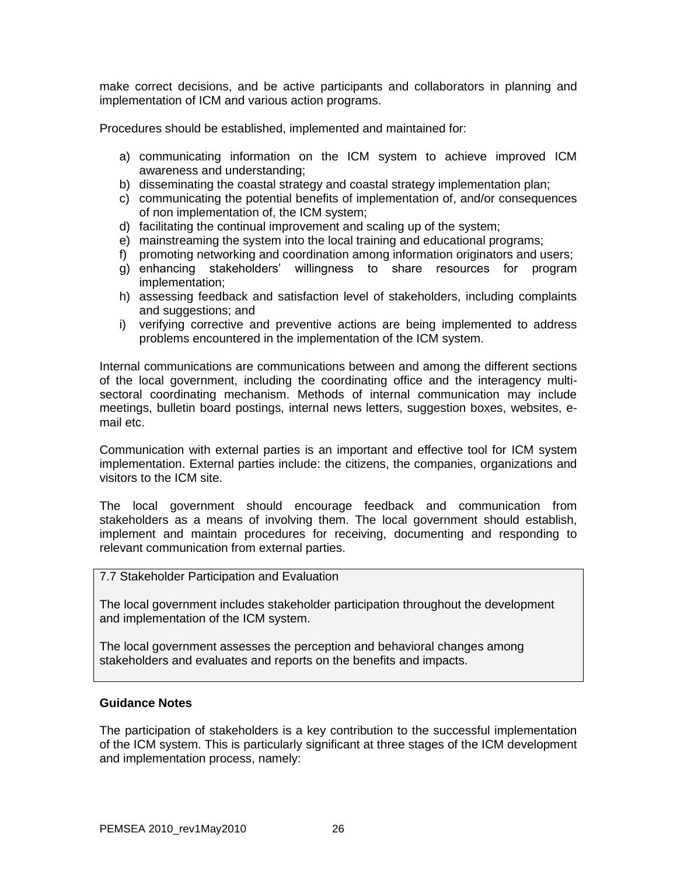make correct decisions, and be active participants and collaborators in planning and implementation of ICM and various action programs.

Procedures should be established, implemented and maintained for:

- a) communicating information on the ICM system to achieve improved ICM awareness and understanding;
- b) disseminating the coastal strategy and coastal strategy implementation plan;
- c) communicating the potential benefits of implementation of, and/or consequences of non implementation of, the ICM system;
- d) facilitating the continual improvement and scaling up of the system;
- e) mainstreaming the system into the local training and educational programs;
- f) promoting networking and coordination among information originators and users;
- g) enhancing stakeholders' willingness to share resources for program implementation;
- h) assessing feedback and satisfaction level of stakeholders, including complaints and suggestions; and
- i) verifying corrective and preventive actions are being implemented to address problems encountered in the implementation of the ICM system.

Internal communications are communications between and among the different sections of the local government, including the coordinating office and the interagency multisectoral coordinating mechanism. Methods of internal communication may include meetings, bulletin board postings, internal news letters, suggestion boxes, websites, email etc.

Communication with external parties is an important and effective tool for ICM system implementation. External parties include: the citizens, the companies, organizations and visitors to the ICM site.

The local government should encourage feedback and communication from stakeholders as a means of involving them. The local government should establish, implement and maintain procedures for receiving, documenting and responding to relevant communication from external parties.

### 7.7 Stakeholder Participation and Evaluation

The local government includes stakeholder participation throughout the development and implementation of the ICM system.

The local government assesses the perception and behavioral changes among stakeholders and evaluates and reports on the benefits and impacts.

### **Guidance Notes**

The participation of stakeholders is a key contribution to the successful implementation of the ICM system. This is particularly significant at three stages of the ICM development and implementation process, namely: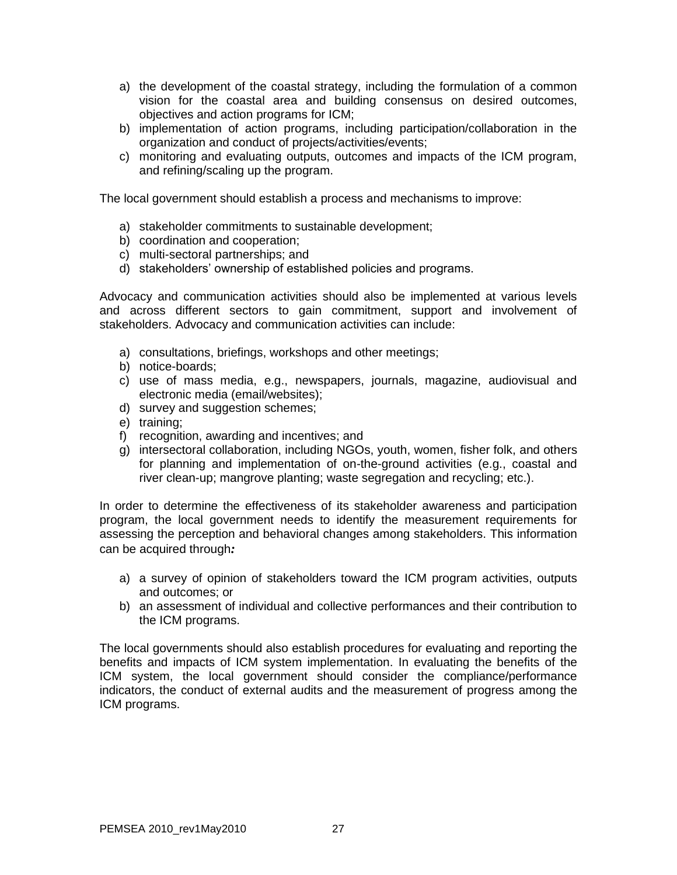- a) the development of the coastal strategy, including the formulation of a common vision for the coastal area and building consensus on desired outcomes, objectives and action programs for ICM;
- b) implementation of action programs, including participation/collaboration in the organization and conduct of projects/activities/events;
- c) monitoring and evaluating outputs, outcomes and impacts of the ICM program, and refining/scaling up the program.

The local government should establish a process and mechanisms to improve:

- a) stakeholder commitments to sustainable development;
- b) coordination and cooperation;
- c) multi-sectoral partnerships; and
- d) stakeholders' ownership of established policies and programs.

Advocacy and communication activities should also be implemented at various levels and across different sectors to gain commitment, support and involvement of stakeholders. Advocacy and communication activities can include:

- a) consultations, briefings, workshops and other meetings;
- b) notice-boards;
- c) use of mass media, e.g., newspapers, journals, magazine, audiovisual and electronic media (email/websites);
- d) survey and suggestion schemes;
- e) training;
- f) recognition, awarding and incentives; and
- g) intersectoral collaboration, including NGOs, youth, women, fisher folk, and others for planning and implementation of on-the-ground activities (e.g., coastal and river clean-up; mangrove planting; waste segregation and recycling; etc.).

In order to determine the effectiveness of its stakeholder awareness and participation program, the local government needs to identify the measurement requirements for assessing the perception and behavioral changes among stakeholders. This information can be acquired through*:*

- a) a survey of opinion of stakeholders toward the ICM program activities, outputs and outcomes; or
- b) an assessment of individual and collective performances and their contribution to the ICM programs.

The local governments should also establish procedures for evaluating and reporting the benefits and impacts of ICM system implementation. In evaluating the benefits of the ICM system, the local government should consider the compliance/performance indicators, the conduct of external audits and the measurement of progress among the ICM programs.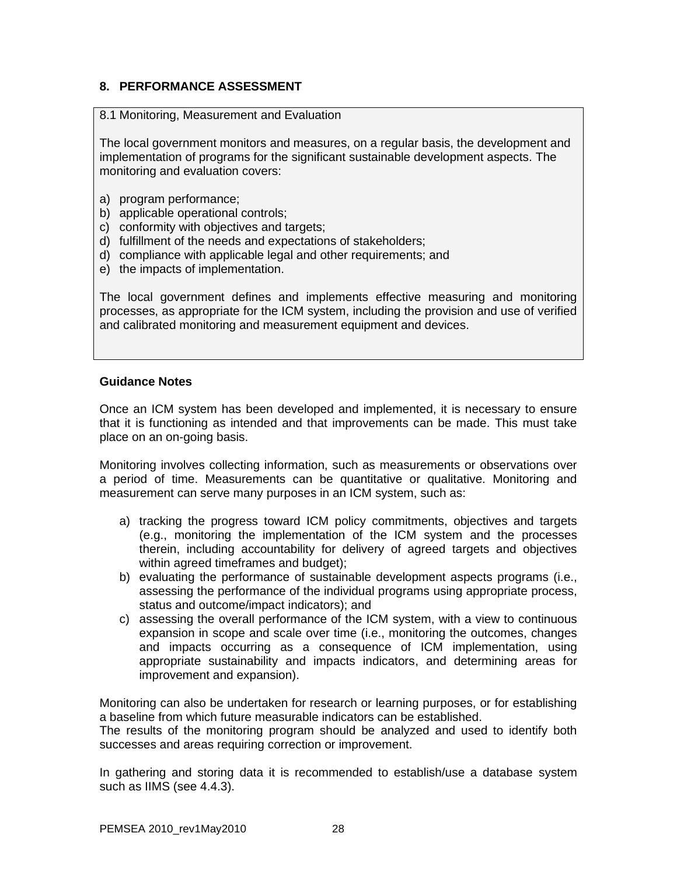# **8. PERFORMANCE ASSESSMENT**

### 8.1 Monitoring, Measurement and Evaluation

The local government monitors and measures, on a regular basis, the development and implementation of programs for the significant sustainable development aspects. The monitoring and evaluation covers:

- a) program performance;
- b) applicable operational controls;
- c) conformity with objectives and targets;
- d) fulfillment of the needs and expectations of stakeholders;
- d) compliance with applicable legal and other requirements; and
- e) the impacts of implementation.

The local government defines and implements effective measuring and monitoring processes, as appropriate for the ICM system, including the provision and use of verified and calibrated monitoring and measurement equipment and devices.

### **Guidance Notes**

Once an ICM system has been developed and implemented, it is necessary to ensure that it is functioning as intended and that improvements can be made. This must take place on an on-going basis.

Monitoring involves collecting information, such as measurements or observations over a period of time. Measurements can be quantitative or qualitative. Monitoring and measurement can serve many purposes in an ICM system, such as:

- a) tracking the progress toward ICM policy commitments, objectives and targets (e.g., monitoring the implementation of the ICM system and the processes therein, including accountability for delivery of agreed targets and objectives within agreed timeframes and budget);
- b) evaluating the performance of sustainable development aspects programs (i.e., assessing the performance of the individual programs using appropriate process, status and outcome/impact indicators); and
- c) assessing the overall performance of the ICM system, with a view to continuous expansion in scope and scale over time (i.e., monitoring the outcomes, changes and impacts occurring as a consequence of ICM implementation, using appropriate sustainability and impacts indicators, and determining areas for improvement and expansion).

Monitoring can also be undertaken for research or learning purposes, or for establishing a baseline from which future measurable indicators can be established.

The results of the monitoring program should be analyzed and used to identify both successes and areas requiring correction or improvement.

In gathering and storing data it is recommended to establish/use a database system such as IIMS (see 4.4.3).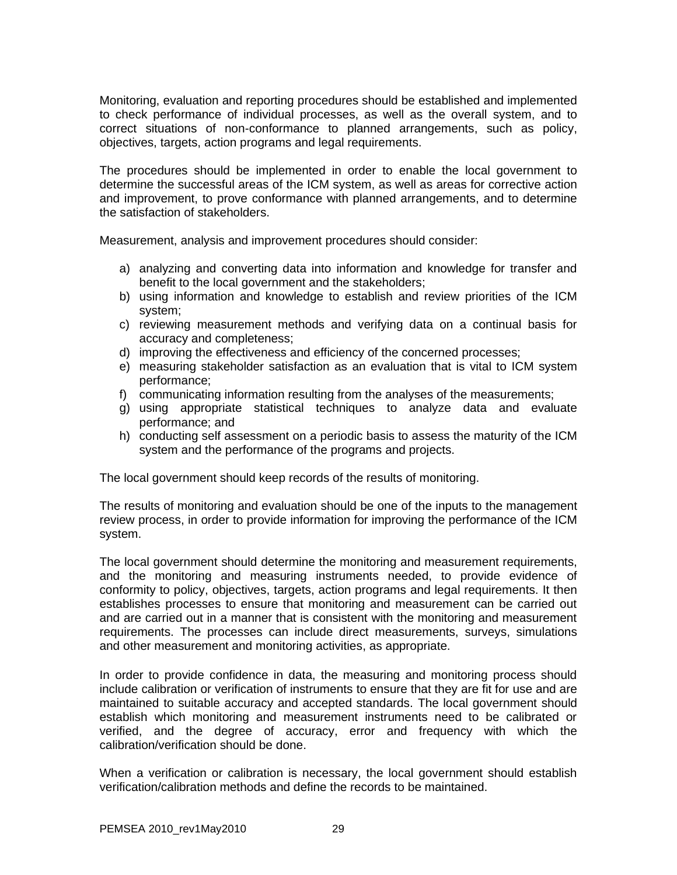Monitoring, evaluation and reporting procedures should be established and implemented to check performance of individual processes, as well as the overall system, and to correct situations of non-conformance to planned arrangements, such as policy, objectives, targets, action programs and legal requirements.

The procedures should be implemented in order to enable the local government to determine the successful areas of the ICM system, as well as areas for corrective action and improvement, to prove conformance with planned arrangements, and to determine the satisfaction of stakeholders.

Measurement, analysis and improvement procedures should consider:

- a) analyzing and converting data into information and knowledge for transfer and benefit to the local government and the stakeholders;
- b) using information and knowledge to establish and review priorities of the ICM system;
- c) reviewing measurement methods and verifying data on a continual basis for accuracy and completeness;
- d) improving the effectiveness and efficiency of the concerned processes;
- e) measuring stakeholder satisfaction as an evaluation that is vital to ICM system performance;
- f) communicating information resulting from the analyses of the measurements;
- g) using appropriate statistical techniques to analyze data and evaluate performance; and
- h) conducting self assessment on a periodic basis to assess the maturity of the ICM system and the performance of the programs and projects.

The local government should keep records of the results of monitoring.

The results of monitoring and evaluation should be one of the inputs to the management review process, in order to provide information for improving the performance of the ICM system.

The local government should determine the monitoring and measurement requirements, and the monitoring and measuring instruments needed, to provide evidence of conformity to policy, objectives, targets, action programs and legal requirements. It then establishes processes to ensure that monitoring and measurement can be carried out and are carried out in a manner that is consistent with the monitoring and measurement requirements. The processes can include direct measurements, surveys, simulations and other measurement and monitoring activities, as appropriate.

In order to provide confidence in data, the measuring and monitoring process should include calibration or verification of instruments to ensure that they are fit for use and are maintained to suitable accuracy and accepted standards. The local government should establish which monitoring and measurement instruments need to be calibrated or verified, and the degree of accuracy, error and frequency with which the calibration/verification should be done.

When a verification or calibration is necessary, the local government should establish verification/calibration methods and define the records to be maintained.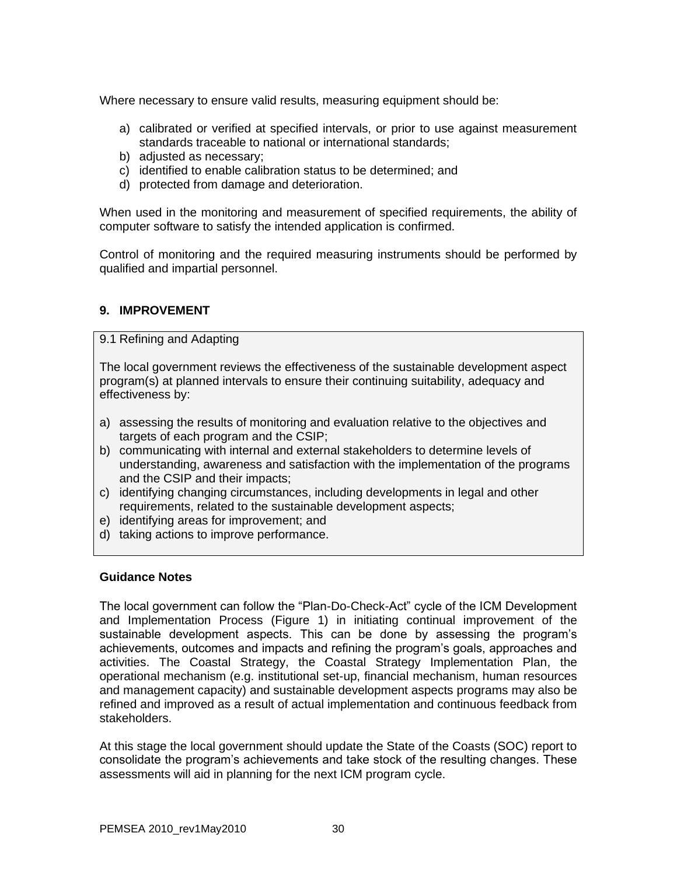Where necessary to ensure valid results, measuring equipment should be:

- a) calibrated or verified at specified intervals, or prior to use against measurement standards traceable to national or international standards;
- b) adjusted as necessary;
- c) identified to enable calibration status to be determined; and
- d) protected from damage and deterioration.

When used in the monitoring and measurement of specified requirements, the ability of computer software to satisfy the intended application is confirmed.

Control of monitoring and the required measuring instruments should be performed by qualified and impartial personnel.

## **9. IMPROVEMENT**

9.1 Refining and Adapting

The local government reviews the effectiveness of the sustainable development aspect program(s) at planned intervals to ensure their continuing suitability, adequacy and effectiveness by:

- a) assessing the results of monitoring and evaluation relative to the objectives and targets of each program and the CSIP;
- b) communicating with internal and external stakeholders to determine levels of understanding, awareness and satisfaction with the implementation of the programs and the CSIP and their impacts;
- c) identifying changing circumstances, including developments in legal and other requirements, related to the sustainable development aspects;
- e) identifying areas for improvement; and
- d) taking actions to improve performance.

### **Guidance Notes**

The local government can follow the "Plan-Do-Check-Act" cycle of the ICM Development and Implementation Process (Figure 1) in initiating continual improvement of the sustainable development aspects. This can be done by assessing the program's achievements, outcomes and impacts and refining the program's goals, approaches and activities. The Coastal Strategy, the Coastal Strategy Implementation Plan, the operational mechanism (e.g. institutional set-up, financial mechanism, human resources and management capacity) and sustainable development aspects programs may also be refined and improved as a result of actual implementation and continuous feedback from stakeholders.

At this stage the local government should update the State of the Coasts (SOC) report to consolidate the program's achievements and take stock of the resulting changes. These assessments will aid in planning for the next ICM program cycle.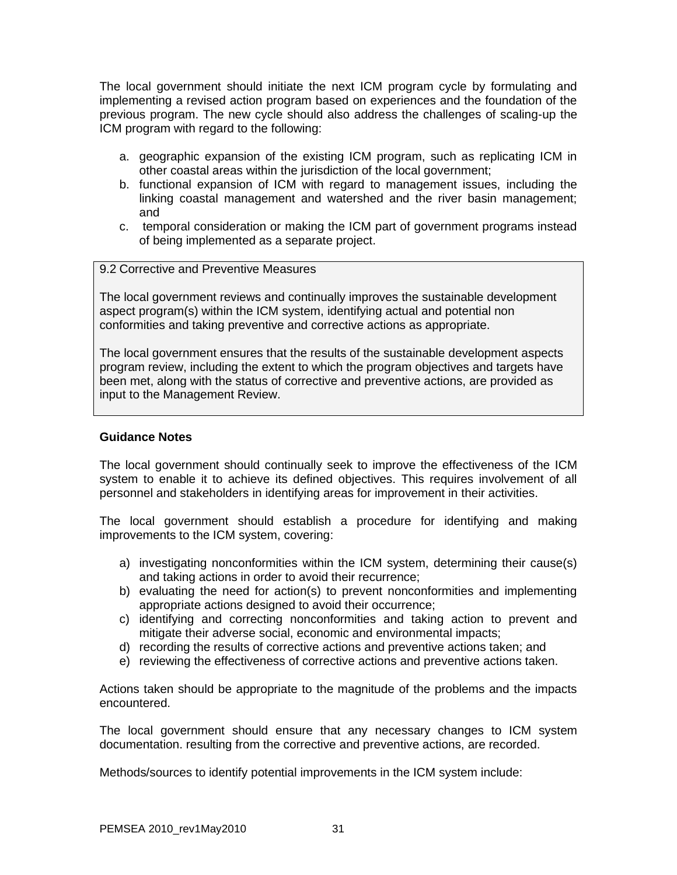The local government should initiate the next ICM program cycle by formulating and implementing a revised action program based on experiences and the foundation of the previous program. The new cycle should also address the challenges of scaling-up the ICM program with regard to the following:

- a. geographic expansion of the existing ICM program, such as replicating ICM in other coastal areas within the jurisdiction of the local government;
- b. functional expansion of ICM with regard to management issues, including the linking coastal management and watershed and the river basin management; and
- c. temporal consideration or making the ICM part of government programs instead of being implemented as a separate project.
- 9.2 Corrective and Preventive Measures

The local government reviews and continually improves the sustainable development aspect program(s) within the ICM system, identifying actual and potential non conformities and taking preventive and corrective actions as appropriate.

The local government ensures that the results of the sustainable development aspects program review, including the extent to which the program objectives and targets have been met, along with the status of corrective and preventive actions, are provided as input to the Management Review.

## **Guidance Notes**

The local government should continually seek to improve the effectiveness of the ICM system to enable it to achieve its defined objectives. This requires involvement of all personnel and stakeholders in identifying areas for improvement in their activities.

The local government should establish a procedure for identifying and making improvements to the ICM system, covering:

- a) investigating nonconformities within the ICM system, determining their cause(s) and taking actions in order to avoid their recurrence;
- b) evaluating the need for action(s) to prevent nonconformities and implementing appropriate actions designed to avoid their occurrence;
- c) identifying and correcting nonconformities and taking action to prevent and mitigate their adverse social, economic and environmental impacts;
- d) recording the results of corrective actions and preventive actions taken; and
- e) reviewing the effectiveness of corrective actions and preventive actions taken.

Actions taken should be appropriate to the magnitude of the problems and the impacts encountered.

The local government should ensure that any necessary changes to ICM system documentation. resulting from the corrective and preventive actions, are recorded.

Methods/sources to identify potential improvements in the ICM system include: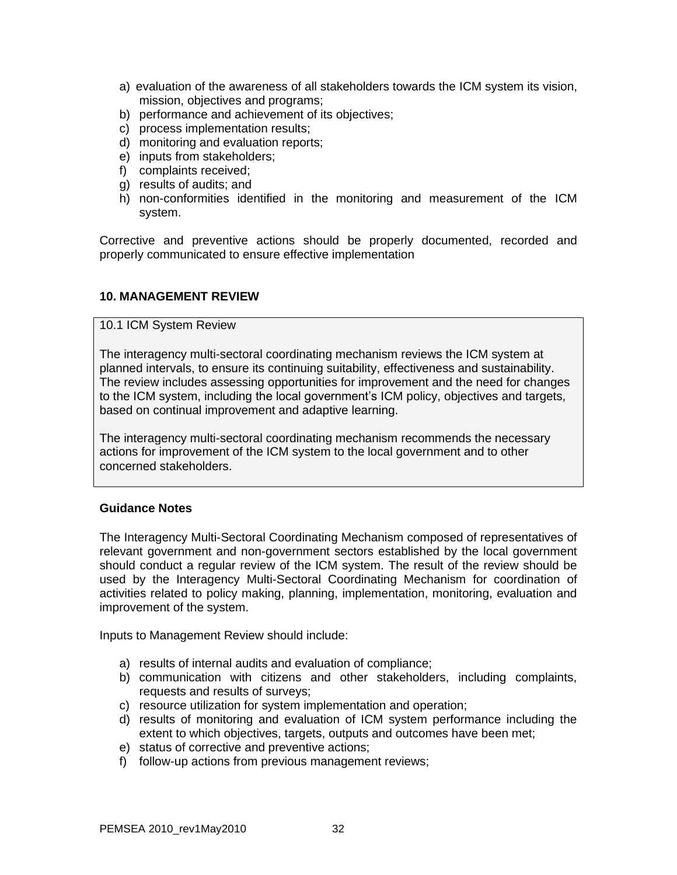- a) evaluation of the awareness of all stakeholders towards the ICM system its vision, mission, objectives and programs;
- b) performance and achievement of its objectives;
- c) process implementation results;
- d) monitoring and evaluation reports;
- e) inputs from stakeholders;
- f) complaints received;
- g) results of audits; and
- h) non-conformities identified in the monitoring and measurement of the ICM system.

Corrective and preventive actions should be properly documented, recorded and properly communicated to ensure effective implementation

### **10. MANAGEMENT REVIEW**

### 10.1 ICM System Review

The interagency multi-sectoral coordinating mechanism reviews the ICM system at planned intervals, to ensure its continuing suitability, effectiveness and sustainability. The review includes assessing opportunities for improvement and the need for changes to the ICM system, including the local government's ICM policy, objectives and targets, based on continual improvement and adaptive learning.

The interagency multi-sectoral coordinating mechanism recommends the necessary actions for improvement of the ICM system to the local government and to other concerned stakeholders.

### **Guidance Notes**

The Interagency Multi-Sectoral Coordinating Mechanism composed of representatives of relevant government and non-government sectors established by the local government should conduct a regular review of the ICM system. The result of the review should be used by the Interagency Multi-Sectoral Coordinating Mechanism for coordination of activities related to policy making, planning, implementation, monitoring, evaluation and improvement of the system.

Inputs to Management Review should include:

- a) results of internal audits and evaluation of compliance;
- b) communication with citizens and other stakeholders, including complaints, requests and results of surveys;
- c) resource utilization for system implementation and operation;
- d) results of monitoring and evaluation of ICM system performance including the extent to which objectives, targets, outputs and outcomes have been met;
- e) status of corrective and preventive actions;
- f) follow-up actions from previous management reviews;